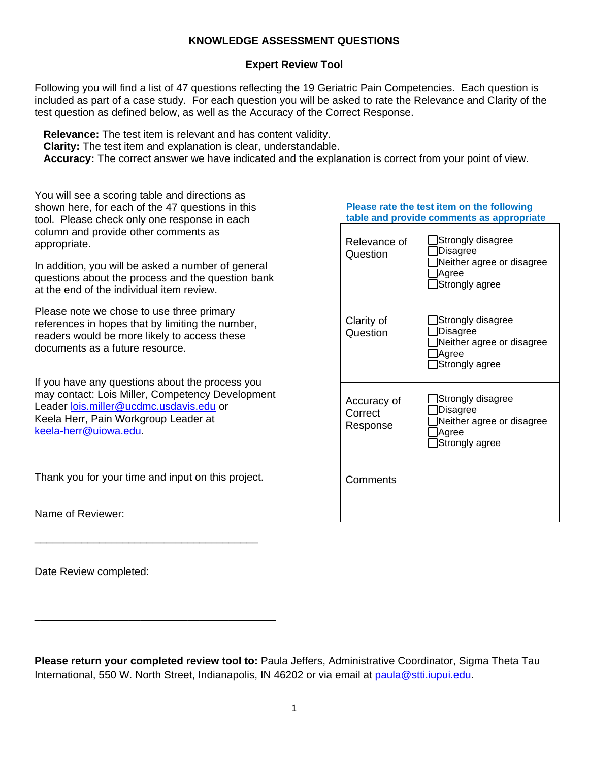## **KNOWLEDGE ASSESSMENT QUESTIONS**

## **Expert Review Tool**

Following you will find a list of 47 questions reflecting the 19 Geriatric Pain Competencies. Each question is included as part of a case study. For each question you will be asked to rate the Relevance and Clarity of the test question as defined below, as well as the Accuracy of the Correct Response.

 **Relevance:** The test item is relevant and has content validity.

 **Clarity:** The test item and explanation is clear, understandable.

 **Accuracy:** The correct answer we have indicated and the explanation is correct from your point of view.

You will see a scoring table and directions as shown here, for each of the 47 questions in this tool. Please check only one response in each column and provide other comments as appropriate.

In addition, you will be asked a number of general questions about the process and the question bank at the end of the individual item review.

Please note we chose to use three primary references in hopes that by limiting the number, readers would be more likely to access these documents as a future resource.

If you have any questions about the process you may contact: Lois Miller, Competency Development Leader [lois.miller@ucdmc.usdavis.edu](mailto:lois.miller@ucdmc.usdavis.edu) or Keela Herr, Pain Workgroup Leader at [keela-herr@uiowa.edu.](mailto:keela-herr@uiowa.edu)

Thank you for your time and input on this project.

\_\_\_\_\_\_\_\_\_\_\_\_\_\_\_\_\_\_\_\_\_\_\_\_\_\_\_\_\_\_\_\_\_\_\_\_\_\_

\_\_\_\_\_\_\_\_\_\_\_\_\_\_\_\_\_\_\_\_\_\_\_\_\_\_\_\_\_\_\_\_\_\_\_\_\_\_\_\_\_

Name of Reviewer:

Date Review completed:

**Please rate the test item on the following table and provide comments as appropriate**

| Relevance of<br>Question           | Strongly disagree<br>Disagree<br>Neither agree or disagree<br>∣Agree<br>Strongly agree |
|------------------------------------|----------------------------------------------------------------------------------------|
| Clarity of<br>Question             | Strongly disagree<br>Disagree<br>Neither agree or disagree<br>JAgree<br>Strongly agree |
| Accuracy of<br>Correct<br>Response | Strongly disagree<br>Disagree<br>Neither agree or disagree<br>Agree<br>Strongly agree  |
| Comments                           |                                                                                        |

**Please return your completed review tool to:** Paula Jeffers, Administrative Coordinator, Sigma Theta Tau International, 550 W. North Street, Indianapolis, IN 46202 or via email at [paula@stti.iupui.edu.](mailto:paula@stti.iupui.edu)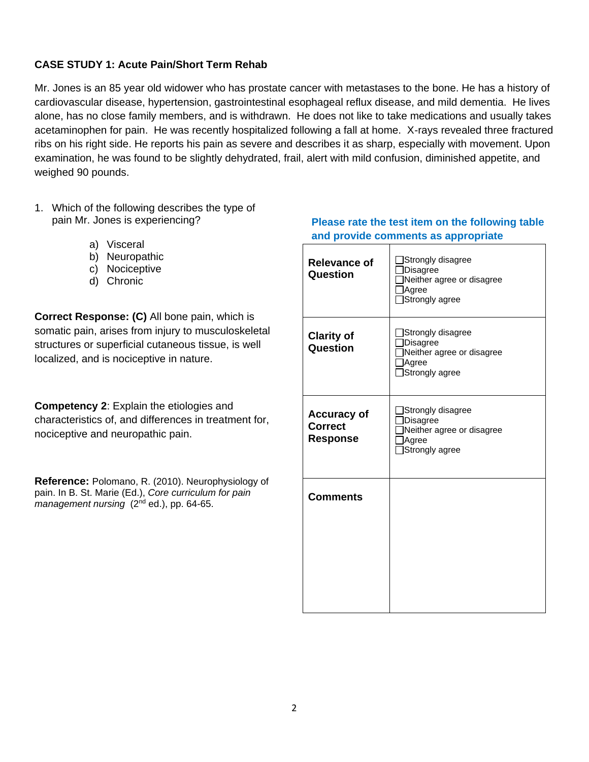## **CASE STUDY 1: Acute Pain/Short Term Rehab**

Mr. Jones is an 85 year old widower who has prostate cancer with metastases to the bone. He has a history of cardiovascular disease, hypertension, gastrointestinal esophageal reflux disease, and mild dementia. He lives alone, has no close family members, and is withdrawn. He does not like to take medications and usually takes acetaminophen for pain. He was recently hospitalized following a fall at home. X-rays revealed three fractured ribs on his right side. He reports his pain as severe and describes it as sharp, especially with movement. Upon examination, he was found to be slightly dehydrated, frail, alert with mild confusion, diminished appetite, and weighed 90 pounds.

- 1. Which of the following describes the type of pain Mr. Jones is experiencing?
	- a) Visceral
	- b) Neuropathic
	- c) Nociceptive
	- d) Chronic

**Correct Response: (C)** All bone pain, which is somatic pain, arises from injury to musculoskeletal structures or superficial cutaneous tissue, is well localized, and is nociceptive in nature.

**Competency 2**: Explain the etiologies and characteristics of, and differences in treatment for, nociceptive and neuropathic pain.

**Reference:** Polomano, R. (2010). Neurophysiology of pain. In B. St. Marie (Ed.), *Core curriculum for pain management nursing* (2<sup>nd</sup> ed.), pp. 64-65.

# **Relevance of Question** Strongly disagree □Disagree Neither agree or disagree Agree Strongly agree **Clarity of Question** Strongly disagree □Disagree Neither agree or disagree Agree □Strongly agree **Accuracy of Correct Response** Strongly disagree Disagree Neither agree or disagree Agree □Strongly agree **Comments**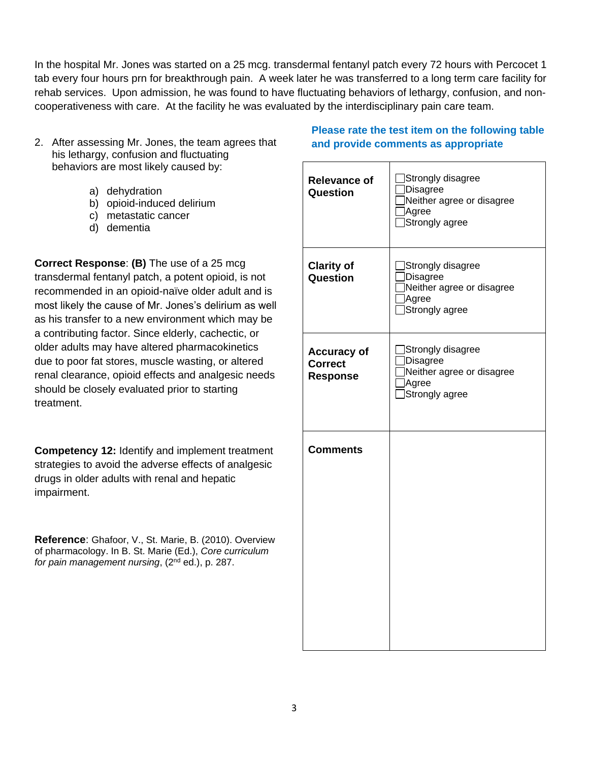In the hospital Mr. Jones was started on a 25 mcg. transdermal fentanyl patch every 72 hours with Percocet 1 tab every four hours prn for breakthrough pain. A week later he was transferred to a long term care facility for rehab services. Upon admission, he was found to have fluctuating behaviors of lethargy, confusion, and noncooperativeness with care. At the facility he was evaluated by the interdisciplinary pain care team.

- 2. After assessing Mr. Jones, the team agrees that his lethargy, confusion and fluctuating behaviors are most likely caused by:
	- a) dehydration
	- b) opioid-induced delirium
	- c) metastatic cancer
	- d) dementia

**Correct Response**: **(B)** The use of a 25 mcg transdermal fentanyl patch, a potent opioid, is not recommended in an opioid-naïve older adult and is most likely the cause of Mr. Jones's delirium as well as his transfer to a new environment which may be a contributing factor. Since elderly, cachectic, or older adults may have altered pharmacokinetics due to poor fat stores, muscle wasting, or altered renal clearance, opioid effects and analgesic needs should be closely evaluated prior to starting treatment.

**Competency 12:** Identify and implement treatment strategies to avoid the adverse effects of analgesic drugs in older adults with renal and hepatic impairment.

**Reference**: Ghafoor, V., St. Marie, B. (2010). Overview of pharmacology. In B. St. Marie (Ed.), *Core curriculum for pain management nursing*, (2nd ed.), p. 287.

| <b>Relevance of</b><br>Question                         | Strongly disagree<br>Disagree<br>Neither agree or disagree<br>Agree<br>Strongly agree |
|---------------------------------------------------------|---------------------------------------------------------------------------------------|
| <b>Clarity of</b><br>Question                           | Strongly disagree<br>Disagree<br>Neither agree or disagree<br>Agree<br>Strongly agree |
| <b>Accuracy of</b><br><b>Correct</b><br><b>Response</b> | Strongly disagree<br>Disagree<br>Neither agree or disagree<br>Agree<br>Strongly agree |
| <b>Comments</b>                                         |                                                                                       |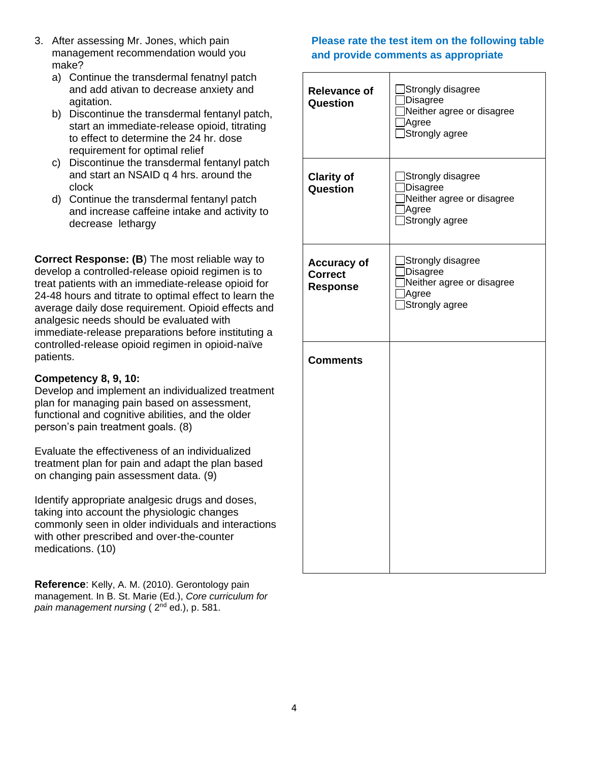- 3. After assessing Mr. Jones, which pain management recommendation would you make?
	- a) Continue the transdermal fenatnyl patch and add ativan to decrease anxiety and agitation.
	- b) Discontinue the transdermal fentanyl patch, start an immediate-release opioid, titrating to effect to determine the 24 hr. dose requirement for optimal relief
	- c) Discontinue the transdermal fentanyl patch and start an NSAID q 4 hrs. around the clock
	- d) Continue the transdermal fentanyl patch and increase caffeine intake and activity to decrease lethargy

**Correct Response: (B**) The most reliable way to develop a controlled-release opioid regimen is to treat patients with an immediate-release opioid for 24-48 hours and titrate to optimal effect to learn the average daily dose requirement. Opioid effects and analgesic needs should be evaluated with immediate-release preparations before instituting a controlled-release opioid regimen in opioid-naïve patients.

## **Competency 8, 9, 10:**

Develop and implement an individualized treatment plan for managing pain based on assessment, functional and cognitive abilities, and the older person's pain treatment goals. (8)

Evaluate the effectiveness of an individualized treatment plan for pain and adapt the plan based on changing pain assessment data. (9)

Identify appropriate analgesic drugs and doses, taking into account the physiologic changes commonly seen in older individuals and interactions with other prescribed and over-the-counter medications. (10)

**Reference**: Kelly, A. M. (2010). Gerontology pain management. In B. St. Marie (Ed.), *Core curriculum for pain management nursing* ( 2nd ed.), p. 581.

| <b>Relevance of</b><br>Question                         | Strongly disagree<br>Disagree<br>Neither agree or disagree<br>Agree<br>Strongly agree |
|---------------------------------------------------------|---------------------------------------------------------------------------------------|
| <b>Clarity of</b><br>Question                           | Strongly disagree<br>Disagree<br>Neither agree or disagree<br>Agree<br>Strongly agree |
| <b>Accuracy of</b><br><b>Correct</b><br><b>Response</b> | Strongly disagree<br>Disagree<br>Neither agree or disagree<br>Agree<br>Strongly agree |
| <b>Comments</b>                                         |                                                                                       |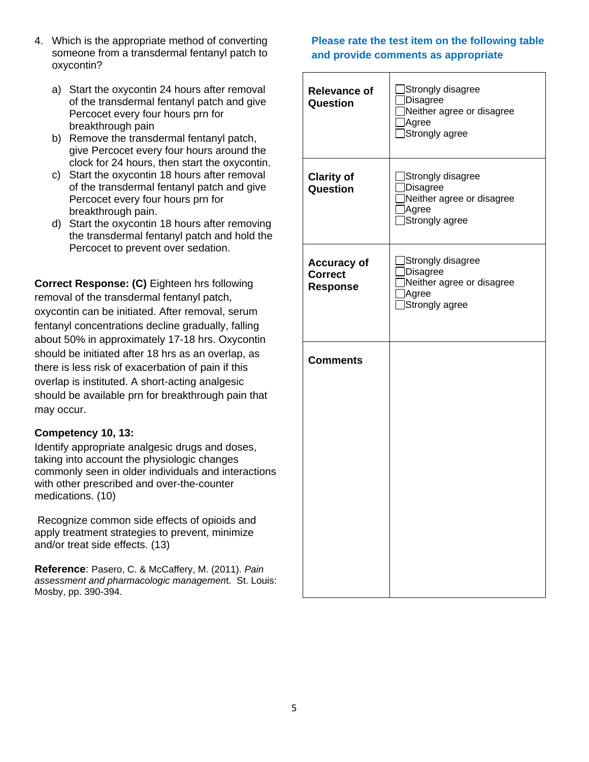- 4. Which is the appropriate method of converting someone from a transdermal fentanyl patch to oxycontin?
	- a) Start the oxycontin 24 hours after removal of the transdermal fentanyl patch and give Percocet every four hours prn for breakthrough pain
	- b) Remove the transdermal fentanyl patch, give Percocet every four hours around the clock for 24 hours, then start the oxycontin.
	- c) Start the oxycontin 18 hours after removal of the transdermal fentanyl patch and give Percocet every four hours prn for breakthrough pain.
	- d) Start the oxycontin 18 hours after removing the transdermal fentanyl patch and hold the Percocet to prevent over sedation.

**Correct Response: (C)** Eighteen hrs following removal of the transdermal fentanyl patch, oxycontin can be initiated. After removal, serum fentanyl concentrations decline gradually, falling about 50% in approximately 17-18 hrs. Oxycontin should be initiated after 18 hrs as an overlap, as there is less risk of exacerbation of pain if this overlap is instituted. A short-acting analgesic should be available prn for breakthrough pain that may occur.

## **Competency 10, 13:**

Identify appropriate analgesic drugs and doses, taking into account the physiologic changes commonly seen in older individuals and interactions with other prescribed and over-the-counter medications. (10)

Recognize common side effects of opioids and apply treatment strategies to prevent, minimize and/or treat side effects. (13)

**Reference**: Pasero, C. & McCaffery, M. (2011). *Pain assessment and pharmacologic managemen*t. St. Louis: Mosby, pp. 390-394.

| <b>Relevance of</b><br>Question                         | Strongly disagree<br><b>Disagree</b><br>Neither agree or disagree<br>Agree<br>Strongly agree |
|---------------------------------------------------------|----------------------------------------------------------------------------------------------|
| <b>Clarity of</b><br>Question                           | Strongly disagree<br><b>Disagree</b><br>Neither agree or disagree<br>Agree<br>Strongly agree |
| <b>Accuracy of</b><br><b>Correct</b><br><b>Response</b> | Strongly disagree<br><b>Disagree</b><br>Neither agree or disagree<br>Agree<br>Strongly agree |
| <b>Comments</b>                                         |                                                                                              |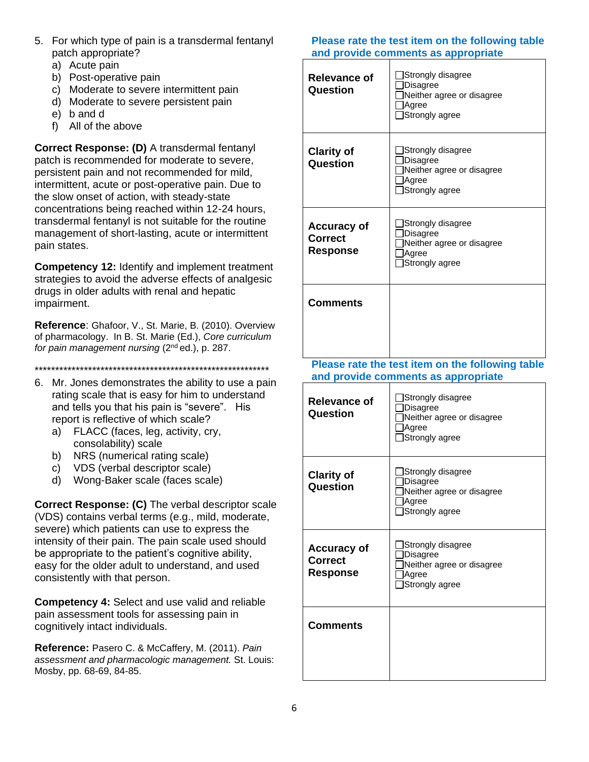- 5. For which type of pain is a transdermal fentanyl patch appropriate?
	- a) Acute pain
	- b) Post-operative pain
	- c) Moderate to severe intermittent pain
	- d) Moderate to severe persistent pain
	- e) b and d
	- f) All of the above

**Correct Response: (D)** A transdermal fentanyl patch is recommended for moderate to severe, persistent pain and not recommended for mild, intermittent, acute or post-operative pain. Due to the slow onset of action, with steady-state concentrations being reached within 12-24 hours, transdermal fentanyl is not suitable for the routine management of short-lasting, acute or intermittent pain states.

**Competency 12:** Identify and implement treatment strategies to avoid the adverse effects of analgesic drugs in older adults with renal and hepatic impairment.

**Reference**: Ghafoor, V., St. Marie, B. (2010). Overview of pharmacology. In B. St. Marie (Ed.), *Core curriculum for pain management nursing* (2nd ed.), p. 287.

\*\*\*\*\*\*\*\*\*\*\*\*\*\*\*\*\*\*\*\*\*\*\*\*\*\*\*\*\*\*\*\*\*\*\*\*\*\*\*\*\*\*\*\*\*\*\*\*\*\*\*\*\*\*\*\*\*

- 6. Mr. Jones demonstrates the ability to use a pain rating scale that is easy for him to understand and tells you that his pain is "severe". His report is reflective of which scale?
	- a) FLACC (faces, leg, activity, cry, consolability) scale
	- b) NRS (numerical rating scale)
	- c) VDS (verbal descriptor scale)
	- d) Wong-Baker scale (faces scale)

**Correct Response: (C)** The verbal descriptor scale (VDS) contains verbal terms (e.g., mild, moderate, severe) which patients can use to express the intensity of their pain. The pain scale used should be appropriate to the patient's cognitive ability, easy for the older adult to understand, and used consistently with that person.

**Competency 4:** Select and use valid and reliable pain assessment tools for assessing pain in cognitively intact individuals.

**Reference:** Pasero C. & McCaffery, M. (2011). *Pain assessment and pharmacologic management.* St. Louis: Mosby, pp. 68-69, 84-85.

| <b>Relevance of</b><br>Question                  | Strongly disagree<br>Disagree<br>Neither agree or disagree<br>Agree<br>Strongly agree   |  |
|--------------------------------------------------|-----------------------------------------------------------------------------------------|--|
| <b>Clarity of</b><br>Question                    | Strongly disagree<br>Disagree<br>Neither agree or disagree<br>Agree<br>Strongly agree   |  |
| <b>Accuracy of</b><br>Correct<br><b>Response</b> | Strongly disagree<br>Disagree<br>Neither agree or disagree<br>Agree<br>Strongly agree   |  |
| <b>Comments</b>                                  |                                                                                         |  |
|                                                  | Please rate the test item on the following table<br>and provide comments as appropriate |  |
| <b>Relevance of</b><br>Question                  | Strongly disagree<br>Disagree<br>Neither agree or disagree<br>Agree<br>Strongly agree   |  |
| `laritv of                                       | Strongly disagree                                                                       |  |

| <b>Relevance of</b><br>Question                         | JStrongly disagree<br>Disagree<br>Neither agree or disagree<br>Agree<br>Strongly agree       |
|---------------------------------------------------------|----------------------------------------------------------------------------------------------|
| <b>Clarity of</b><br>Question                           | Strongly disagree<br><b>Disagree</b><br>Neither agree or disagree<br>Agree<br>Strongly agree |
| <b>Accuracy of</b><br><b>Correct</b><br><b>Response</b> | Strongly disagree<br>Disagree<br>Neither agree or disagree<br>Agree<br>Strongly agree        |
| <b>Comments</b>                                         |                                                                                              |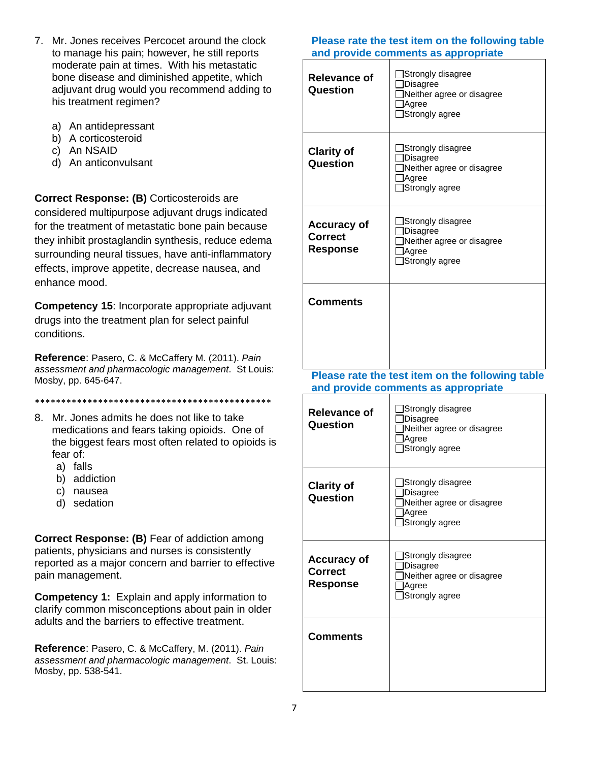- 7. Mr. Jones receives Percocet around the clock to manage his pain; however, he still reports moderate pain at times. With his metastatic bone disease and diminished appetite, which adjuvant drug would you recommend adding to his treatment regimen?
	- a) An antidepressant
	- b) A corticosteroid
	- c) An NSAID
	- d) An anticonvulsant

**Correct Response: (B)** Corticosteroids are considered multipurpose adjuvant drugs indicated for the treatment of metastatic bone pain because they inhibit prostaglandin synthesis, reduce edema surrounding neural tissues, have anti-inflammatory effects, improve appetite, decrease nausea, and enhance mood.

**Competency 15**: Incorporate appropriate adjuvant drugs into the treatment plan for select painful conditions.

**Reference**: Pasero, C. & McCaffery M. (2011). *Pain assessment and pharmacologic management*. St Louis: Mosby, pp. 645-647.

\*\*\*\*\*\*\*\*\*\*\*\*\*\*\*\*\*\*\*\*\*\*\*\*\*\*\*\*\*\*\*\*\*\*\*\*\*\*\*\*\*\*\*\*\*

- 8. Mr. Jones admits he does not like to take medications and fears taking opioids. One of the biggest fears most often related to opioids is fear of:
	- a) falls
	- b) addiction
	- c) nausea
	- d) sedation

**Correct Response: (B)** Fear of addiction among patients, physicians and nurses is consistently reported as a major concern and barrier to effective pain management.

**Competency 1:** Explain and apply information to clarify common misconceptions about pain in older adults and the barriers to effective treatment.

**Reference**: Pasero, C. & McCaffery, M. (2011). *Pain assessment and pharmacologic management*. St. Louis: Mosby, pp. 538-541.

| <b>Relevance of</b><br>Question                         | Strongly disagree<br>Disagree<br>Neither agree or disagree<br>Agree<br>Strongly agree   |
|---------------------------------------------------------|-----------------------------------------------------------------------------------------|
| <b>Clarity of</b><br>Question                           | Strongly disagree<br>Disagree<br>Neither agree or disagree<br>Agree<br>Strongly agree   |
| <b>Accuracy of</b><br><b>Correct</b><br><b>Response</b> | Strongly disagree<br>Disagree<br>Neither agree or disagree<br>Agree<br>Strongly agree   |
| <b>Comments</b>                                         |                                                                                         |
|                                                         | Please rate the test item on the following table<br>and provide comments as appropriate |
| <b>Relevance of</b><br>Question                         | Strongly disagree<br>Disagree<br>Neither agree or disagree<br>Agree<br>Strongly agree   |
| <b>Clarity of</b><br>Question                           | Strongly disagree<br>Disagree<br>Neither agree or disagree<br>Agree<br>Strongly agree   |
| <b>Accuracy of</b><br><b>Correct</b>                    |                                                                                         |
| <b>Response</b>                                         | Strongly disagree<br>Disagree<br>Neither agree or disagree<br>Agree<br>Strongly agree   |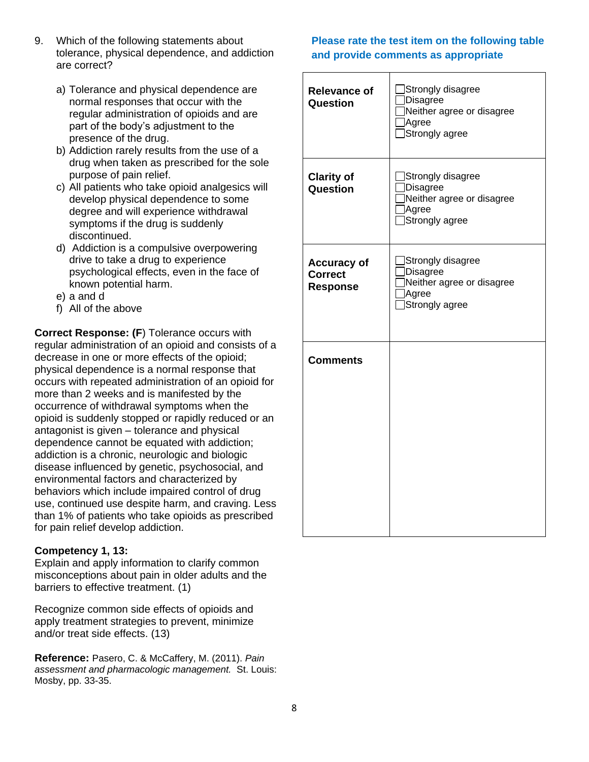- 9. Which of the following statements about tolerance, physical dependence, and addiction are correct?
	- a) Tolerance and physical dependence are normal responses that occur with the regular administration of opioids and are part of the body's adjustment to the presence of the drug.
	- b) Addiction rarely results from the use of a drug when taken as prescribed for the sole purpose of pain relief.
	- c) All patients who take opioid analgesics will develop physical dependence to some degree and will experience withdrawal symptoms if the drug is suddenly discontinued.
	- d) Addiction is a compulsive overpowering drive to take a drug to experience psychological effects, even in the face of known potential harm.
	- e) a and d
	- f) All of the above

**Correct Response: (F**) Tolerance occurs with regular administration of an opioid and consists of a decrease in one or more effects of the opioid; physical dependence is a normal response that occurs with repeated administration of an opioid for more than 2 weeks and is manifested by the occurrence of withdrawal symptoms when the opioid is suddenly stopped or rapidly reduced or an antagonist is given – tolerance and physical dependence cannot be equated with addiction; addiction is a chronic, neurologic and biologic disease influenced by genetic, psychosocial, and environmental factors and characterized by behaviors which include impaired control of drug use, continued use despite harm, and craving. Less than 1% of patients who take opioids as prescribed for pain relief develop addiction.

#### **Competency 1, 13:**

Explain and apply information to clarify common misconceptions about pain in older adults and the barriers to effective treatment. (1)

Recognize common side effects of opioids and apply treatment strategies to prevent, minimize and/or treat side effects. (13)

**Reference:** Pasero, C. & McCaffery, M. (2011). *Pain assessment and pharmacologic management.* St. Louis: Mosby, pp. 33-35.

| <b>Relevance of</b><br>Question                         | Strongly disagree<br>Disagree<br>Neither agree or disagree<br>Agree<br>Strongly agree |
|---------------------------------------------------------|---------------------------------------------------------------------------------------|
| <b>Clarity of</b><br>Question                           | Strongly disagree<br>Disagree<br>Neither agree or disagree<br>Agree<br>Strongly agree |
| <b>Accuracy of</b><br><b>Correct</b><br><b>Response</b> | Strongly disagree<br>Disagree<br>Neither agree or disagree<br>Agree<br>Strongly agree |
| <b>Comments</b>                                         |                                                                                       |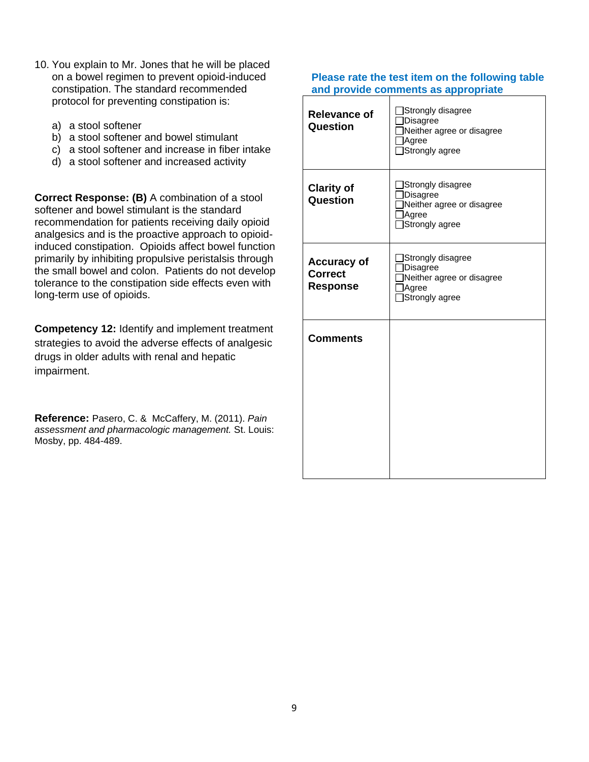- 10. You explain to Mr. Jones that he will be placed on a bowel regimen to prevent opioid-induced constipation. The standard recommended protocol for preventing constipation is:
	- a) a stool softener
	- b) a stool softener and bowel stimulant
	- c) a stool softener and increase in fiber intake
	- d) a stool softener and increased activity

**Correct Response: (B)** A combination of a stool softener and bowel stimulant is the standard recommendation for patients receiving daily opioid analgesics and is the proactive approach to opioidinduced constipation. Opioids affect bowel function primarily by inhibiting propulsive peristalsis through the small bowel and colon. Patients do not develop tolerance to the constipation side effects even with long-term use of opioids.

**Competency 12:** Identify and implement treatment strategies to avoid the adverse effects of analgesic drugs in older adults with renal and hepatic impairment.

**Reference:** Pasero, C. & McCaffery, M. (2011). *Pain assessment and pharmacologic management.* St. Louis: Mosby, pp. 484-489.

| <b>Relevance of</b><br>Question                         | Strongly disagree<br>]Disagree<br>Neither agree or disagree<br>Agree<br>Strongly agree |
|---------------------------------------------------------|----------------------------------------------------------------------------------------|
| <b>Clarity of</b><br>Question                           | ]Strongly disagree<br>Disagree<br>Neither agree or disagree<br>Agree<br>Strongly agree |
| <b>Accuracy of</b><br><b>Correct</b><br><b>Response</b> | Strongly disagree<br>Disagree<br>Neither agree or disagree<br>Agree<br>Strongly agree  |
| <b>Comments</b>                                         |                                                                                        |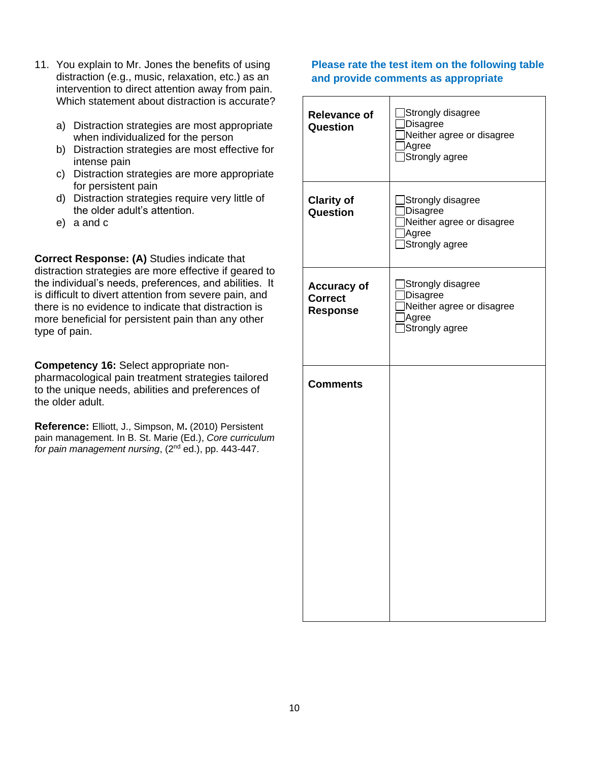- 11. You explain to Mr. Jones the benefits of using distraction (e.g., music, relaxation, etc.) as an intervention to direct attention away from pain. Which statement about distraction is accurate?
	- a) Distraction strategies are most appropriate when individualized for the person
	- b) Distraction strategies are most effective for intense pain
	- c) Distraction strategies are more appropriate for persistent pain
	- d) Distraction strategies require very little of the older adult's attention.
	- e) a and c

**Correct Response: (A)** Studies indicate that distraction strategies are more effective if geared to the individual's needs, preferences, and abilities. It is difficult to divert attention from severe pain, and there is no evidence to indicate that distraction is more beneficial for persistent pain than any other type of pain.

**Competency 16:** Select appropriate nonpharmacological pain treatment strategies tailored to the unique needs, abilities and preferences of the older adult.

**Reference:** Elliott, J., Simpson, M**.** (2010) Persistent pain management. In B. St. Marie (Ed.), *Core curriculum for pain management nursing*, (2nd ed.), pp. 443-447.

| <b>Relevance of</b><br>Question                         | Strongly disagree<br>Disagree<br>Neither agree or disagree<br>]Agree<br>Strongly agree  |
|---------------------------------------------------------|-----------------------------------------------------------------------------------------|
| <b>Clarity of</b><br>Question                           | Strongly disagree<br>Disagree<br>Neither agree or disagree<br>Agree<br>Strongly agree   |
| <b>Accuracy of</b><br><b>Correct</b><br><b>Response</b> | Strongly disagree<br>]Disagree<br>Neither agree or disagree<br>]Agree<br>Strongly agree |
| <b>Comments</b>                                         |                                                                                         |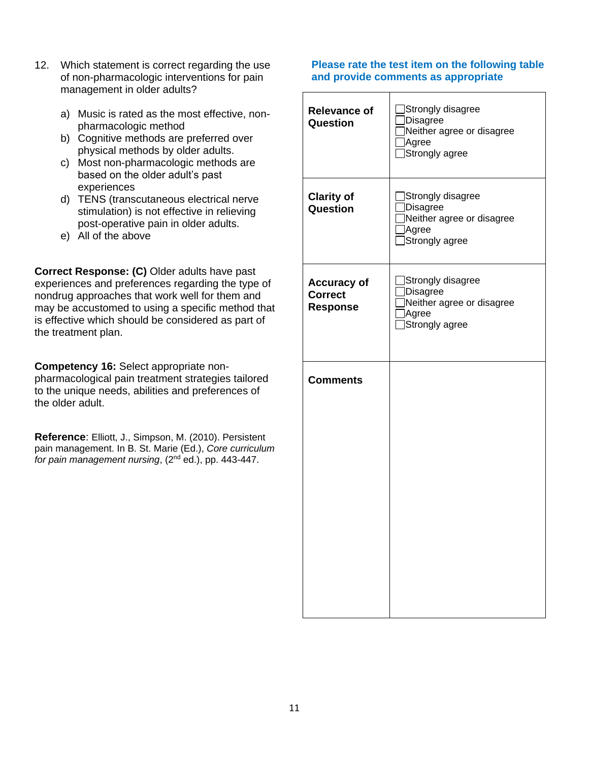- 12. Which statement is correct regarding the use of non-pharmacologic interventions for pain management in older adults?
	- a) Music is rated as the most effective, nonpharmacologic method
	- b) Cognitive methods are preferred over physical methods by older adults.
	- c) Most non-pharmacologic methods are based on the older adult's past experiences
	- d) TENS (transcutaneous electrical nerve stimulation) is not effective in relieving post-operative pain in older adults.
	- e) All of the above

**Correct Response: (C)** Older adults have past experiences and preferences regarding the type of nondrug approaches that work well for them and may be accustomed to using a specific method that is effective which should be considered as part of the treatment plan.

**Competency 16:** Select appropriate nonpharmacological pain treatment strategies tailored to the unique needs, abilities and preferences of the older adult.

**Reference**: Elliott, J., Simpson, M. (2010). Persistent pain management. In B. St. Marie (Ed.), *Core curriculum for pain management nursing*, (2nd ed.), pp. 443-447.

| <b>Relevance of</b><br>Question                         | Strongly disagree<br><b>Disagree</b><br>Neither agree or disagree<br>Agree<br>Strongly agree |
|---------------------------------------------------------|----------------------------------------------------------------------------------------------|
| <b>Clarity of</b><br>Question                           | Strongly disagree<br><b>Disagree</b><br>Neither agree or disagree<br>Agree<br>Strongly agree |
| <b>Accuracy of</b><br><b>Correct</b><br><b>Response</b> | Strongly disagree<br>Disagree<br>Neither agree or disagree<br>Agree<br>Strongly agree        |
| <b>Comments</b>                                         |                                                                                              |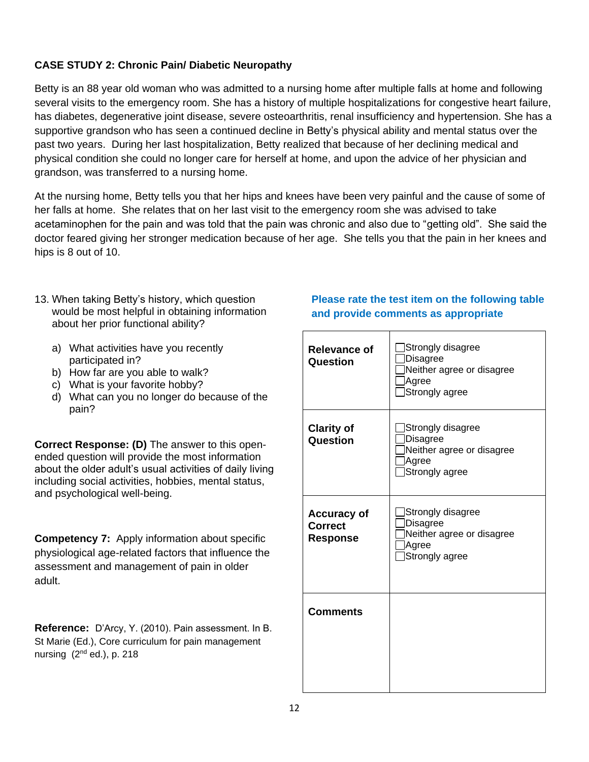## **CASE STUDY 2: Chronic Pain/ Diabetic Neuropathy**

Betty is an 88 year old woman who was admitted to a nursing home after multiple falls at home and following several visits to the emergency room. She has a history of multiple hospitalizations for congestive heart failure, has diabetes, degenerative joint disease, severe osteoarthritis, renal insufficiency and hypertension. She has a supportive grandson who has seen a continued decline in Betty's physical ability and mental status over the past two years. During her last hospitalization, Betty realized that because of her declining medical and physical condition she could no longer care for herself at home, and upon the advice of her physician and grandson, was transferred to a nursing home.

At the nursing home, Betty tells you that her hips and knees have been very painful and the cause of some of her falls at home. She relates that on her last visit to the emergency room she was advised to take acetaminophen for the pain and was told that the pain was chronic and also due to "getting old". She said the doctor feared giving her stronger medication because of her age. She tells you that the pain in her knees and hips is 8 out of 10.

- 13. When taking Betty's history, which question would be most helpful in obtaining information about her prior functional ability?
	- a) What activities have you recently participated in?
	- b) How far are you able to walk?
	- c) What is your favorite hobby?
	- d) What can you no longer do because of the pain?

**Correct Response: (D)** The answer to this openended question will provide the most information about the older adult's usual activities of daily living including social activities, hobbies, mental status, and psychological well-being.

**Competency 7:** Apply information about specific physiological age-related factors that influence the assessment and management of pain in older adult.

**Reference:** D'Arcy, Y. (2010). Pain assessment. In B. St Marie (Ed.), Core curriculum for pain management nursing  $(2<sup>nd</sup>$  ed.), p. 218

| <b>Relevance of</b><br>Question                         | Strongly disagree<br>Disagree<br>Neither agree or disagree<br>Agree<br>Strongly agree        |
|---------------------------------------------------------|----------------------------------------------------------------------------------------------|
| <b>Clarity of</b><br>Question                           | Strongly disagree<br><b>Disagree</b><br>Neither agree or disagree<br>Agree<br>Strongly agree |
| <b>Accuracy of</b><br><b>Correct</b><br><b>Response</b> | Strongly disagree<br>Disagree<br>Neither agree or disagree<br>Agree<br>Strongly agree        |
| <b>Comments</b>                                         |                                                                                              |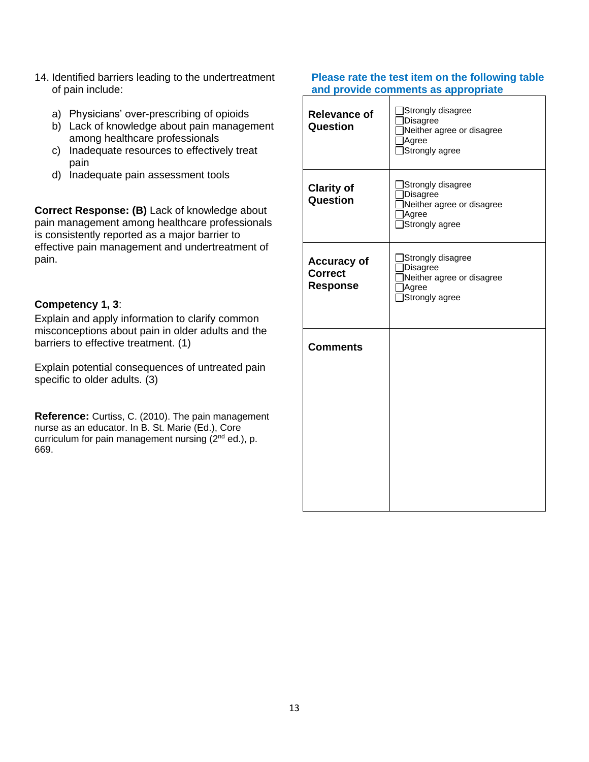- 14. Identified barriers leading to the undertreatment of pain include:
	- a) Physicians' over-prescribing of opioids
	- b) Lack of knowledge about pain management among healthcare professionals
	- c) Inadequate resources to effectively treat pain
	- d) Inadequate pain assessment tools

**Correct Response: (B)** Lack of knowledge about pain management among healthcare professionals is consistently reported as a major barrier to effective pain management and undertreatment of pain.

## **Competency 1, 3**:

Explain and apply information to clarify common misconceptions about pain in older adults and the barriers to effective treatment. (1)

Explain potential consequences of untreated pain specific to older adults. (3)

**Reference:** Curtiss, C. (2010). The pain management nurse as an educator. In B. St. Marie (Ed.), Core curriculum for pain management nursing (2<sup>nd</sup> ed.), p. 669.

| <b>Relevance of</b><br>Question                         | □Strongly disagree<br>Disagree<br>Neither agree or disagree<br>Agree<br>Strongly agree |
|---------------------------------------------------------|----------------------------------------------------------------------------------------|
| <b>Clarity of</b><br>Question                           | Strongly disagree<br>Disagree<br>Neither agree or disagree<br>Agree<br>Strongly agree  |
| <b>Accuracy of</b><br><b>Correct</b><br><b>Response</b> | Strongly disagree<br>Disagree<br>Neither agree or disagree<br>Agree<br>Strongly agree  |
| <b>Comments</b>                                         |                                                                                        |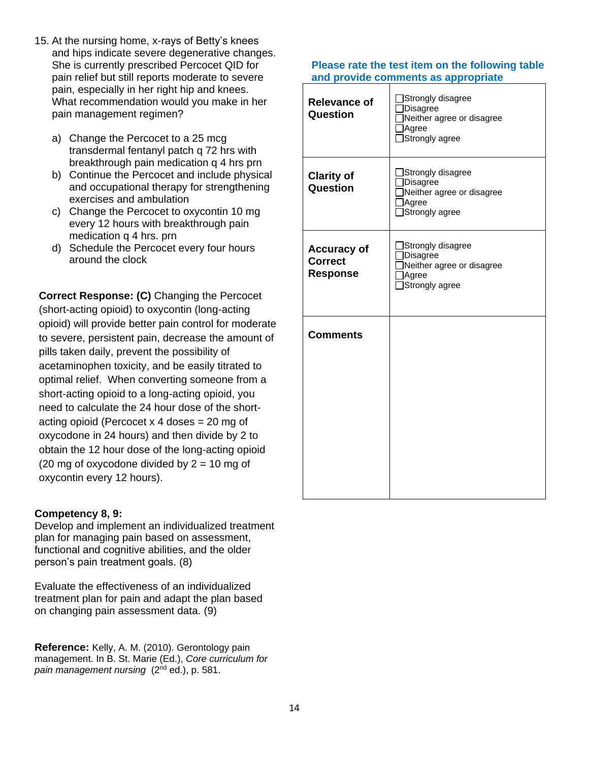- 15. At the nursing home, x-rays of Betty's knees and hips indicate severe degenerative changes. She is currently prescribed Percocet QID for pain relief but still reports moderate to severe pain, especially in her right hip and knees. What recommendation would you make in her pain management regimen?
	- a) Change the Percocet to a 25 mcg transdermal fentanyl patch q 72 hrs with breakthrough pain medication q 4 hrs prn
	- b) Continue the Percocet and include physical and occupational therapy for strengthening exercises and ambulation
	- c) Change the Percocet to oxycontin 10 mg every 12 hours with breakthrough pain medication q 4 hrs. prn
	- d) Schedule the Percocet every four hours around the clock

**Correct Response: (C)** Changing the Percocet (short-acting opioid) to oxycontin (long-acting opioid) will provide better pain control for moderate to severe, persistent pain, decrease the amount of pills taken daily, prevent the possibility of acetaminophen toxicity, and be easily titrated to optimal relief. When converting someone from a short-acting opioid to a long-acting opioid, you need to calculate the 24 hour dose of the shortacting opioid (Percocet x 4 doses = 20 mg of oxycodone in 24 hours) and then divide by 2 to obtain the 12 hour dose of the long-acting opioid (20 mg of oxycodone divided by  $2 = 10$  mg of oxycontin every 12 hours).

## **Competency 8, 9:**

Develop and implement an individualized treatment plan for managing pain based on assessment, functional and cognitive abilities, and the older person's pain treatment goals. (8)

Evaluate the effectiveness of an individualized treatment plan for pain and adapt the plan based on changing pain assessment data. (9)

**Reference:** Kelly, A. M. (2010). Gerontology pain management. In B. St. Marie (Ed.), *Core curriculum for pain management nursing* (2nd ed.), p. 581.

| <b>Relevance of</b><br>Question                         | Strongly disagree<br>Disagree<br>Neither agree or disagree<br>Agree<br>Strongly agree        |
|---------------------------------------------------------|----------------------------------------------------------------------------------------------|
| <b>Clarity of</b><br>Question                           | Strongly disagree<br><b>Disagree</b><br>Neither agree or disagree<br>Agree<br>Strongly agree |
| <b>Accuracy of</b><br><b>Correct</b><br><b>Response</b> | Strongly disagree<br><b>Disagree</b><br>Neither agree or disagree<br>Agree<br>Strongly agree |
| <b>Comments</b>                                         |                                                                                              |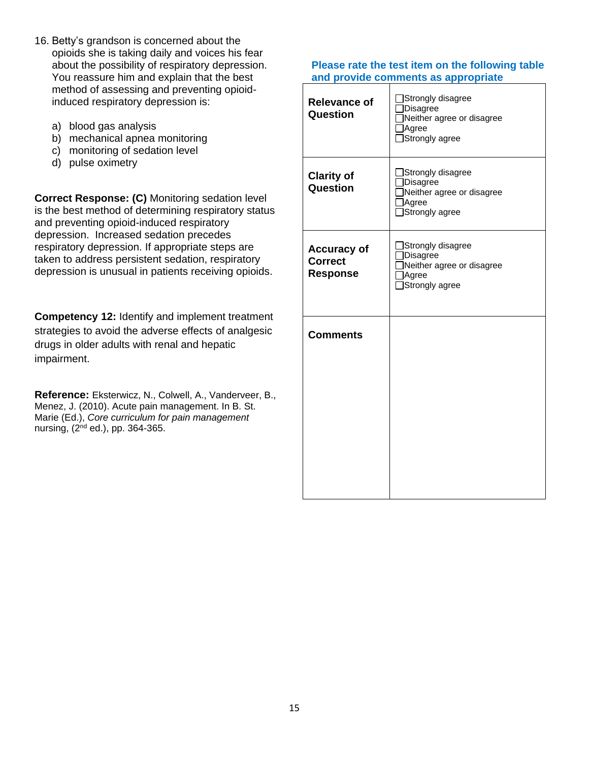- 16. Betty's grandson is concerned about the opioids she is taking daily and voices his fear about the possibility of respiratory depression. You reassure him and explain that the best method of assessing and preventing opioidinduced respiratory depression is:
	- a) blood gas analysis
	- b) mechanical apnea monitoring
	- c) monitoring of sedation level
	- d) pulse oximetry

**Correct Response: (C)** Monitoring sedation level is the best method of determining respiratory status and preventing opioid-induced respiratory depression. Increased sedation precedes respiratory depression. If appropriate steps are taken to address persistent sedation, respiratory depression is unusual in patients receiving opioids.

**Competency 12:** Identify and implement treatment strategies to avoid the adverse effects of analgesic drugs in older adults with renal and hepatic impairment.

**Reference:** Eksterwicz, N., Colwell, A., Vanderveer, B., Menez, J. (2010). Acute pain management. In B. St. Marie (Ed.), *Core curriculum for pain management*  nursing,  $(2^{nd}$  ed.), pp. 364-365.

| <b>Relevance of</b><br>Question                         | Strongly disagree<br>Disagree<br>Neither agree or disagree<br>Agree<br>Strongly agree        |
|---------------------------------------------------------|----------------------------------------------------------------------------------------------|
| <b>Clarity of</b><br>Question                           | Strongly disagree<br>Disagree<br>Neither agree or disagree<br><b>Agree</b><br>Strongly agree |
| <b>Accuracy of</b><br><b>Correct</b><br><b>Response</b> | Strongly disagree<br>Disagree<br>Neither agree or disagree<br>Agree<br>Strongly agree        |
| <b>Comments</b>                                         |                                                                                              |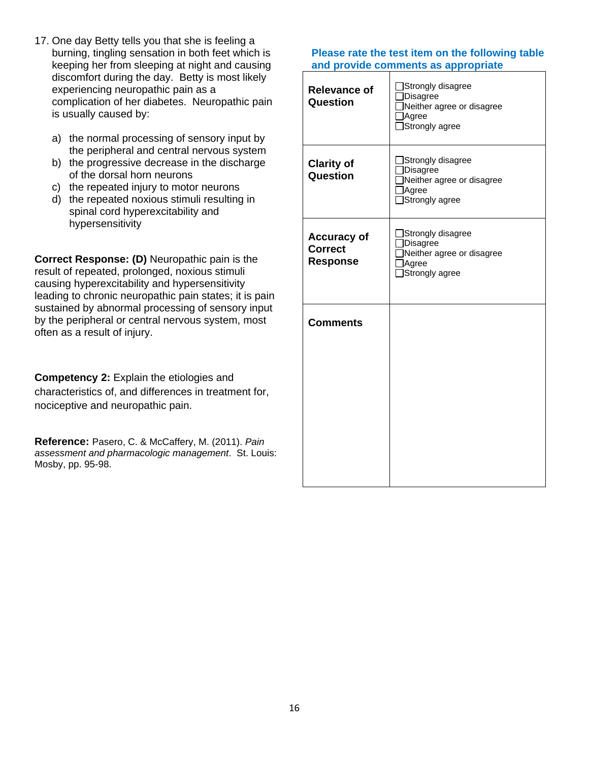- 17. One day Betty tells you that she is feeling a burning, tingling sensation in both feet which is keeping her from sleeping at night and causing discomfort during the day. Betty is most likely experiencing neuropathic pain as a complication of her diabetes. Neuropathic pain is usually caused by:
	- a) the normal processing of sensory input by the peripheral and central nervous system
	- b) the progressive decrease in the discharge of the dorsal horn neurons
	- c) the repeated injury to motor neurons
	- d) the repeated noxious stimuli resulting in spinal cord hyperexcitability and hypersensitivity

**Correct Response: (D)** Neuropathic pain is the result of repeated, prolonged, noxious stimuli causing hyperexcitability and hypersensitivity leading to chronic neuropathic pain states; it is pain sustained by abnormal processing of sensory input by the peripheral or central nervous system, most often as a result of injury.

**Competency 2:** Explain the etiologies and characteristics of, and differences in treatment for, nociceptive and neuropathic pain.

**Reference:** Pasero, C. & McCaffery, M. (2011). *Pain assessment and pharmacologic management*. St. Louis: Mosby, pp. 95-98.

| <b>Relevance of</b><br>Question                         | Strongly disagree<br>Disagree<br>Neither agree or disagree<br>Agree<br>Strongly agree  |
|---------------------------------------------------------|----------------------------------------------------------------------------------------|
| <b>Clarity of</b><br>Question                           | Strongly disagree<br>Disagree<br>Neither agree or disagree<br>Agree<br>□Strongly agree |
| <b>Accuracy of</b><br><b>Correct</b><br><b>Response</b> | Strongly disagree<br>Disagree<br>Neither agree or disagree<br>Agree<br>Strongly agree  |
| <b>Comments</b>                                         |                                                                                        |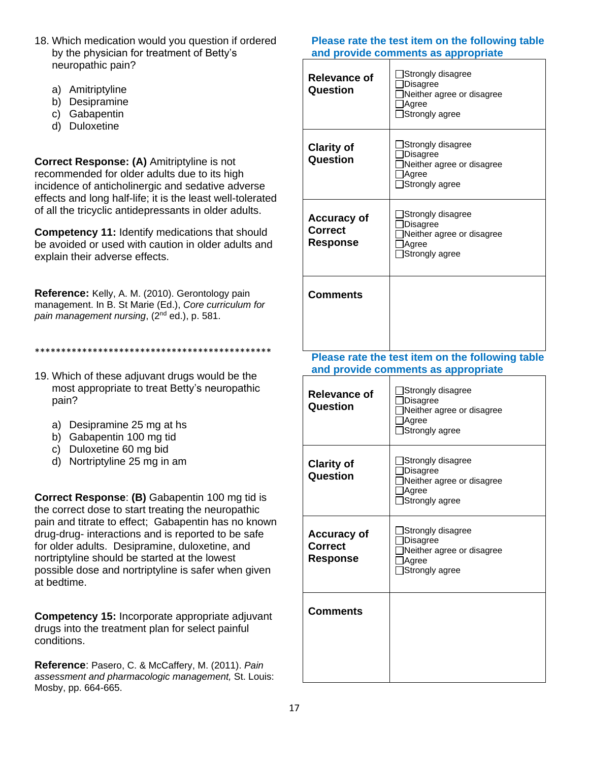- 18. Which medication would you question if ordered by the physician for treatment of Betty's neuropathic pain?
	- a) Amitriptyline
	- b) Desipramine
	- c) Gabapentin
	- d) Duloxetine

**Correct Response: (A)** Amitriptyline is not recommended for older adults due to its high incidence of anticholinergic and sedative adverse effects and long half-life; it is the least well-tolerated of all the tricyclic antidepressants in older adults.

**Competency 11:** Identify medications that should be avoided or used with caution in older adults and explain their adverse effects.

**Reference:** Kelly, A. M. (2010). Gerontology pain management. In B. St Marie (Ed.), *Core curriculum for pain management nursing*, (2nd ed.), p. 581.

\*\*\*\*\*\*\*\*\*\*\*\*\*\*\*\*\*\*\*\*\*\*\*\*\*\*\*\*\*\*\*\*\*\*\*\*\*\*\*\*\*\*\*\*\*

- 19. Which of these adjuvant drugs would be the most appropriate to treat Betty's neuropathic pain?
	- a) Desipramine 25 mg at hs
	- b) Gabapentin 100 mg tid
	- c) Duloxetine 60 mg bid
	- d) Nortriptyline 25 mg in am

**Correct Response**: **(B)** Gabapentin 100 mg tid is the correct dose to start treating the neuropathic pain and titrate to effect; Gabapentin has no known drug-drug- interactions and is reported to be safe for older adults. Desipramine, duloxetine, and nortriptyline should be started at the lowest possible dose and nortriptyline is safer when given at bedtime.

**Competency 15:** Incorporate appropriate adjuvant drugs into the treatment plan for select painful conditions.

**Reference**: Pasero, C. & McCaffery, M. (2011). *Pain assessment and pharmacologic management,* St. Louis: Mosby, pp. 664-665.

### **Please rate the test item on the following table and provide comments as appropriate**

| Relevance of<br>Question                         | Strongly disagree<br>Disagree<br>Neither agree or disagree<br>Agree<br>Strongly agree |
|--------------------------------------------------|---------------------------------------------------------------------------------------|
| <b>Clarity of</b><br>Question                    | Strongly disagree<br>Disagree<br>Neither agree or disagree<br>Agree<br>Strongly agree |
| <b>Accuracy of</b><br>Correct<br><b>Response</b> | Strongly disagree<br>Disagree<br>Neither agree or disagree<br>Agree<br>Strongly agree |
| <b>Comments</b>                                  |                                                                                       |

| <b>Relevance of</b><br>Question                  | Strongly disagree<br>Disagree<br>Neither agree or disagree<br>Agree<br>Strongly agree         |
|--------------------------------------------------|-----------------------------------------------------------------------------------------------|
| <b>Clarity of</b><br>Question                    | ]Strongly disagree<br><b>Disagree</b><br>Neither agree or disagree<br>Agree<br>Strongly agree |
| <b>Accuracy of</b><br><b>Correct</b><br>Response | Strongly disagree<br>Disagree<br>Neither agree or disagree<br>Agree<br>Strongly agree         |
| <b>Comments</b>                                  |                                                                                               |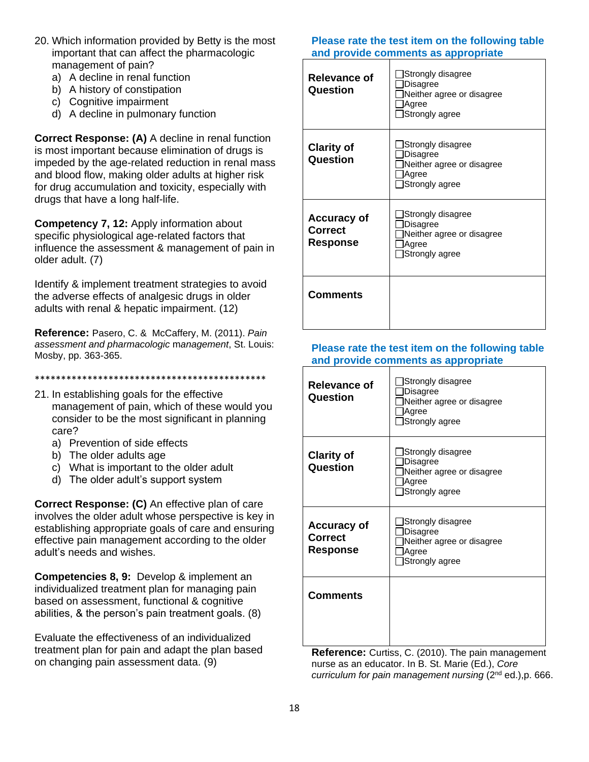- 20. Which information provided by Betty is the most important that can affect the pharmacologic management of pain?
	- a) A decline in renal function
	- b) A history of constipation
	- c) Cognitive impairment
	- d) A decline in pulmonary function

**Correct Response: (A)** A decline in renal function is most important because elimination of drugs is impeded by the age-related reduction in renal mass and blood flow, making older adults at higher risk for drug accumulation and toxicity, especially with drugs that have a long half-life.

**Competency 7, 12:** Apply information about specific physiological age-related factors that influence the assessment & management of pain in older adult. (7)

Identify & implement treatment strategies to avoid the adverse effects of analgesic drugs in older adults with renal & hepatic impairment. (12)

**Reference:** Pasero, C. & McCaffery, M. (2011). *Pain assessment and pharmacologic* m*anagement*, St. Louis: Mosby, pp. 363-365.

#### \*\*\*\*\*\*\*\*\*\*\*\*\*\*\*\*\*\*\*\*\*\*\*\*\*\*\*\*\*\*\*\*\*\*\*\*\*\*\*\*\*\*\*\*

- 21. In establishing goals for the effective management of pain, which of these would you consider to be the most significant in planning care?
	- a) Prevention of side effects
	- b) The older adults age
	- c) What is important to the older adult
	- d) The older adult's support system

**Correct Response: (C)** An effective plan of care involves the older adult whose perspective is key in establishing appropriate goals of care and ensuring effective pain management according to the older adult's needs and wishes.

**Competencies 8, 9:** Develop & implement an individualized treatment plan for managing pain based on assessment, functional & cognitive abilities, & the person's pain treatment goals. (8)

Evaluate the effectiveness of an individualized treatment plan for pain and adapt the plan based on changing pain assessment data. (9)

### **Please rate the test item on the following table and provide comments as appropriate**

| Relevance of<br>Question                         | Strongly disagree<br>Disagree<br>Neither agree or disagree<br>Agree<br>Strongly agree |
|--------------------------------------------------|---------------------------------------------------------------------------------------|
| <b>Clarity of</b><br>Question                    | Strongly disagree<br>Disagree<br>Neither agree or disagree<br>Agree<br>Strongly agree |
| <b>Accuracy of</b><br>Correct<br><b>Response</b> | Strongly disagree<br>Disagree<br>Neither agree or disagree<br>Agree<br>Strongly agree |
| Comments                                         |                                                                                       |

#### **Please rate the test item on the following table and provide comments as appropriate**

| <b>Relevance of</b><br>Question                         | Strongly disagree<br>Disagree<br>Neither agree or disagree<br>Agree<br>Strongly agree |
|---------------------------------------------------------|---------------------------------------------------------------------------------------|
| <b>Clarity of</b><br>Question                           | Strongly disagree<br>Disagree<br>Neither agree or disagree<br>Agree<br>Strongly agree |
| <b>Accuracy of</b><br><b>Correct</b><br><b>Response</b> | Strongly disagree<br>Disagree<br>Neither agree or disagree<br>Agree<br>Strongly agree |
| <b>Comments</b>                                         |                                                                                       |

**Reference:** Curtiss, C. (2010). The pain management nurse as an educator. In B. St. Marie (Ed.), *Core curriculum for pain management nursing* (2nd ed.),p. 666.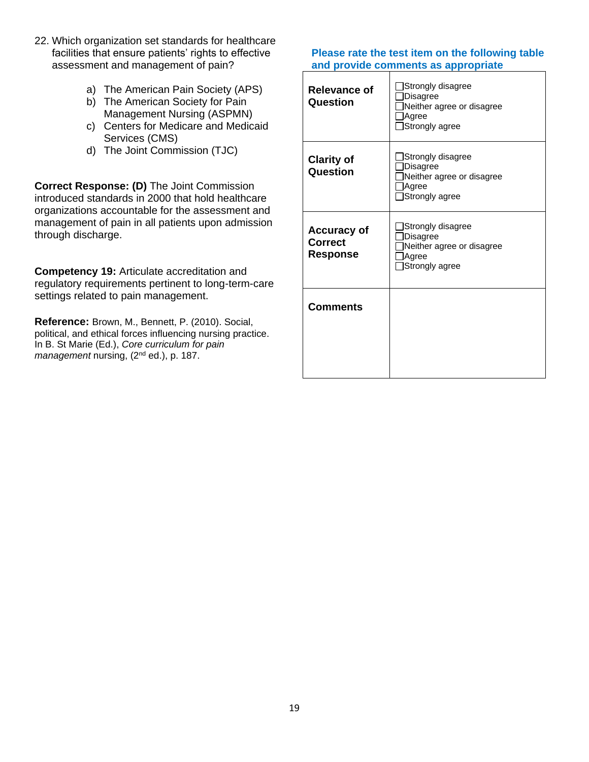- 22. Which organization set standards for healthcare facilities that ensure patients' rights to effective assessment and management of pain?
	- a) The American Pain Society (APS)
	- b) The American Society for Pain Management Nursing (ASPMN)
	- c) Centers for Medicare and Medicaid Services (CMS)
	- d) The Joint Commission (TJC)

**Correct Response: (D)** The Joint Commission introduced standards in 2000 that hold healthcare organizations accountable for the assessment and management of pain in all patients upon admission through discharge.

**Competency 19:** Articulate accreditation and regulatory requirements pertinent to long-term-care settings related to pain management.

**Reference:** Brown, M., Bennett, P. (2010). Social, political, and ethical forces influencing nursing practice. In B. St Marie (Ed.), *Core curriculum for pain management* nursing, (2nd ed.), p. 187.

| Relevance of<br>Question                                | Strongly disagree<br>Disagree<br>Neither agree or disagree<br>Agree<br>Strongly agree        |
|---------------------------------------------------------|----------------------------------------------------------------------------------------------|
| <b>Clarity of</b><br>Question                           | Strongly disagree<br>Disagree<br>Neither agree or disagree<br>Agree<br>Strongly agree        |
| <b>Accuracy of</b><br><b>Correct</b><br><b>Response</b> | Strongly disagree<br><b>Disagree</b><br>Neither agree or disagree<br>Agree<br>Strongly agree |
| <b>Comments</b>                                         |                                                                                              |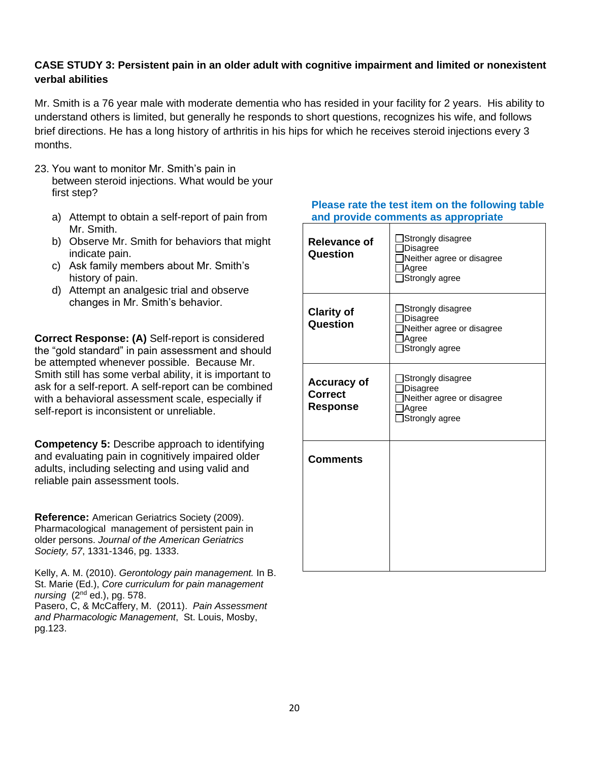## **CASE STUDY 3: Persistent pain in an older adult with cognitive impairment and limited or nonexistent verbal abilities**

Mr. Smith is a 76 year male with moderate dementia who has resided in your facility for 2 years. His ability to understand others is limited, but generally he responds to short questions, recognizes his wife, and follows brief directions. He has a long history of arthritis in his hips for which he receives steroid injections every 3 months.

- 23. You want to monitor Mr. Smith's pain in between steroid injections. What would be your first step?
	- a) Attempt to obtain a self-report of pain from Mr. Smith.
	- b) Observe Mr. Smith for behaviors that might indicate pain.
	- c) Ask family members about Mr. Smith's history of pain.
	- d) Attempt an analgesic trial and observe changes in Mr. Smith's behavior.

**Correct Response: (A)** Self-report is considered the "gold standard" in pain assessment and should be attempted whenever possible. Because Mr. Smith still has some verbal ability, it is important to ask for a self-report. A self-report can be combined with a behavioral assessment scale, especially if self-report is inconsistent or unreliable.

**Competency 5:** Describe approach to identifying and evaluating pain in cognitively impaired older adults, including selecting and using valid and reliable pain assessment tools.

**Reference:** American Geriatrics Society (2009). Pharmacological management of persistent pain in older persons. *Journal of the American Geriatrics Society, 57*, 1331-1346, pg. 1333.

Kelly, A. M. (2010). *Gerontology pain management.* In B. St. Marie (Ed.), *Core curriculum for pain management nursing* (2nd ed.), pg. 578. Pasero, C, & McCaffery, M. (2011). *Pain Assessment and Pharmacologic Management*, St. Louis, Mosby, pg.123.

| <b>Relevance of</b><br>Question                         | Strongly disagree<br>Disagree<br>Neither agree or disagree<br>Agree<br>Strongly agree        |
|---------------------------------------------------------|----------------------------------------------------------------------------------------------|
| <b>Clarity of</b><br><b>Question</b>                    | Strongly disagree<br><b>Disagree</b><br>Neither agree or disagree<br>Agree<br>Strongly agree |
| <b>Accuracy of</b><br><b>Correct</b><br><b>Response</b> | Strongly disagree<br>Disagree<br>Neither agree or disagree<br>Agree<br>Strongly agree        |
| <b>Comments</b>                                         |                                                                                              |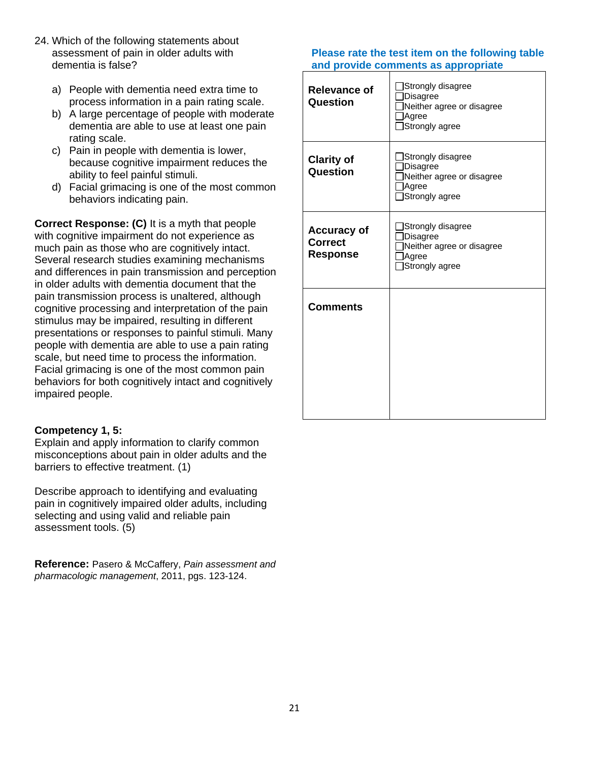- 24. Which of the following statements about assessment of pain in older adults with dementia is false?
	- a) People with dementia need extra time to process information in a pain rating scale.
	- b) A large percentage of people with moderate dementia are able to use at least one pain rating scale.
	- c) Pain in people with dementia is lower, because cognitive impairment reduces the ability to feel painful stimuli.
	- d) Facial grimacing is one of the most common behaviors indicating pain.

**Correct Response: (C)** It is a myth that people with cognitive impairment do not experience as much pain as those who are cognitively intact. Several research studies examining mechanisms and differences in pain transmission and perception in older adults with dementia document that the pain transmission process is unaltered, although cognitive processing and interpretation of the pain stimulus may be impaired, resulting in different presentations or responses to painful stimuli. Many people with dementia are able to use a pain rating scale, but need time to process the information. Facial grimacing is one of the most common pain behaviors for both cognitively intact and cognitively impaired people.

## **Competency 1, 5:**

Explain and apply information to clarify common misconceptions about pain in older adults and the barriers to effective treatment. (1)

Describe approach to identifying and evaluating pain in cognitively impaired older adults, including selecting and using valid and reliable pain assessment tools. (5)

**Reference:** Pasero & McCaffery, *Pain assessment and pharmacologic management*, 2011, pgs. 123-124.

| <b>Relevance of</b><br>Question                         | Strongly disagree<br>]Disagree<br>Neither agree or disagree<br>Agree<br>Strongly agree       |
|---------------------------------------------------------|----------------------------------------------------------------------------------------------|
| <b>Clarity of</b><br>Question                           | Strongly disagree<br><b>Disagree</b><br>Neither agree or disagree<br>Agree<br>Strongly agree |
| <b>Accuracy of</b><br><b>Correct</b><br><b>Response</b> | Strongly disagree<br>Disagree<br>Neither agree or disagree<br>Agree<br>Strongly agree        |
| <b>Comments</b>                                         |                                                                                              |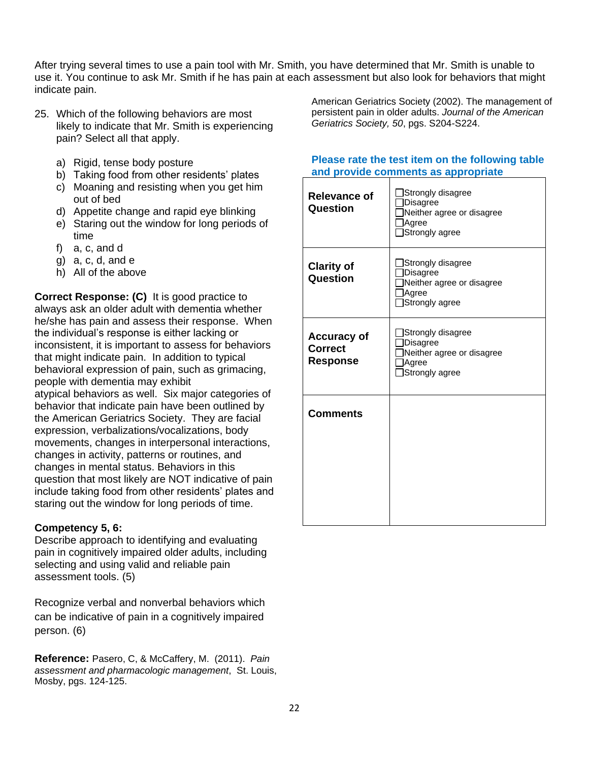After trying several times to use a pain tool with Mr. Smith, you have determined that Mr. Smith is unable to use it. You continue to ask Mr. Smith if he has pain at each assessment but also look for behaviors that might indicate pain.

- 25. Which of the following behaviors are most likely to indicate that Mr. Smith is experiencing pain? Select all that apply.
	- a) Rigid, tense body posture
	- b) Taking food from other residents' plates
	- c) Moaning and resisting when you get him out of bed
	- d) Appetite change and rapid eye blinking
	- e) Staring out the window for long periods of time
	- f) a, c, and d
	- g) a, c, d, and e
	- h) All of the above

**Correct Response: (C)** It is good practice to always ask an older adult with dementia whether he/she has pain and assess their response. When the individual's response is either lacking or inconsistent, it is important to assess for behaviors that might indicate pain. In addition to typical behavioral expression of pain, such as grimacing, people with dementia may exhibit atypical behaviors as well. Six major categories of behavior that indicate pain have been outlined by the American Geriatrics Society. They are facial expression, verbalizations/vocalizations, body

movements, changes in interpersonal interactions, changes in activity, patterns or routines, and changes in mental status. Behaviors in this question that most likely are NOT indicative of pain include taking food from other residents' plates and staring out the window for long periods of time.

## **Competency 5, 6:**

Describe approach to identifying and evaluating pain in cognitively impaired older adults, including selecting and using valid and reliable pain assessment tools. (5)

Recognize verbal and nonverbal behaviors which can be indicative of pain in a cognitively impaired person. (6)

**Reference:** Pasero, C, & McCaffery, M. (2011). *Pain assessment and pharmacologic management*, St. Louis, Mosby, pgs. 124-125.

American Geriatrics Society (2002). The management of persistent pain in older adults. *Journal of the American Geriatrics Society, 50*, pgs. S204-S224.

| <b>Relevance of</b><br>Question                         | Strongly disagree<br><b>Disagree</b><br>Neither agree or disagree<br>Agree<br>Strongly agree |
|---------------------------------------------------------|----------------------------------------------------------------------------------------------|
| <b>Clarity of</b><br>Question                           | Strongly disagree<br>Disagree<br>Neither agree or disagree<br>Agree<br>Strongly agree        |
| <b>Accuracy of</b><br><b>Correct</b><br><b>Response</b> | Strongly disagree<br><b>Disagree</b><br>Neither agree or disagree<br>Agree<br>Strongly agree |
| <b>Comments</b>                                         |                                                                                              |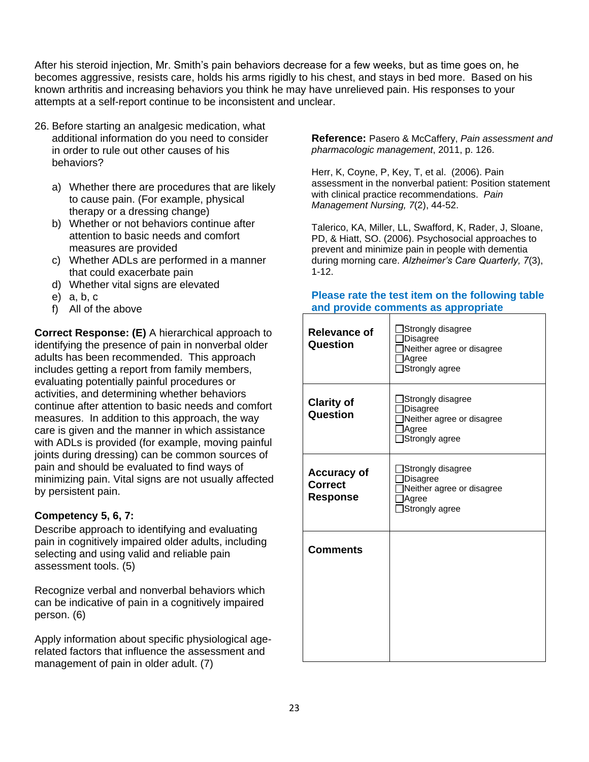After his steroid injection, Mr. Smith's pain behaviors decrease for a few weeks, but as time goes on, he becomes aggressive, resists care, holds his arms rigidly to his chest, and stays in bed more. Based on his known arthritis and increasing behaviors you think he may have unrelieved pain. His responses to your attempts at a self-report continue to be inconsistent and unclear.

- 26. Before starting an analgesic medication, what additional information do you need to consider in order to rule out other causes of his behaviors?
	- a) Whether there are procedures that are likely to cause pain. (For example, physical therapy or a dressing change)
	- b) Whether or not behaviors continue after attention to basic needs and comfort measures are provided
	- c) Whether ADLs are performed in a manner that could exacerbate pain
	- d) Whether vital signs are elevated
	- e) a, b, c
	- f) All of the above

**Correct Response: (E)** A hierarchical approach to identifying the presence of pain in nonverbal older adults has been recommended. This approach includes getting a report from family members, evaluating potentially painful procedures or activities, and determining whether behaviors continue after attention to basic needs and comfort measures. In addition to this approach, the way care is given and the manner in which assistance with ADLs is provided (for example, moving painful joints during dressing) can be common sources of pain and should be evaluated to find ways of minimizing pain. Vital signs are not usually affected by persistent pain.

## **Competency 5, 6, 7:**

Describe approach to identifying and evaluating pain in cognitively impaired older adults, including selecting and using valid and reliable pain assessment tools. (5)

Recognize verbal and nonverbal behaviors which can be indicative of pain in a cognitively impaired person. (6)

Apply information about specific physiological agerelated factors that influence the assessment and management of pain in older adult. (7)

**Reference:** Pasero & McCaffery, *Pain assessment and pharmacologic management*, 2011, p. 126.

Herr, K, Coyne, P, Key, T, et al. (2006). Pain assessment in the nonverbal patient: Position statement with clinical practice recommendations. *Pain Management Nursing, 7*(2), 44-52.

Talerico, KA, Miller, LL, Swafford, K, Rader, J, Sloane, PD, & Hiatt, SO. (2006). Psychosocial approaches to prevent and minimize pain in people with dementia during morning care. *Alzheimer's Care Quarterly, 7*(3), 1-12.

| <b>Relevance of</b><br>Question                         | Strongly disagree<br>Disagree<br>Neither agree or disagree<br>Agree<br>Strongly agree        |
|---------------------------------------------------------|----------------------------------------------------------------------------------------------|
| <b>Clarity of</b><br>Question                           | Strongly disagree<br><b>Disagree</b><br>Neither agree or disagree<br>Agree<br>Strongly agree |
| <b>Accuracy of</b><br><b>Correct</b><br><b>Response</b> | Strongly disagree<br>Disagree<br>Neither agree or disagree<br>Agree<br>Strongly agree        |
| <b>Comments</b>                                         |                                                                                              |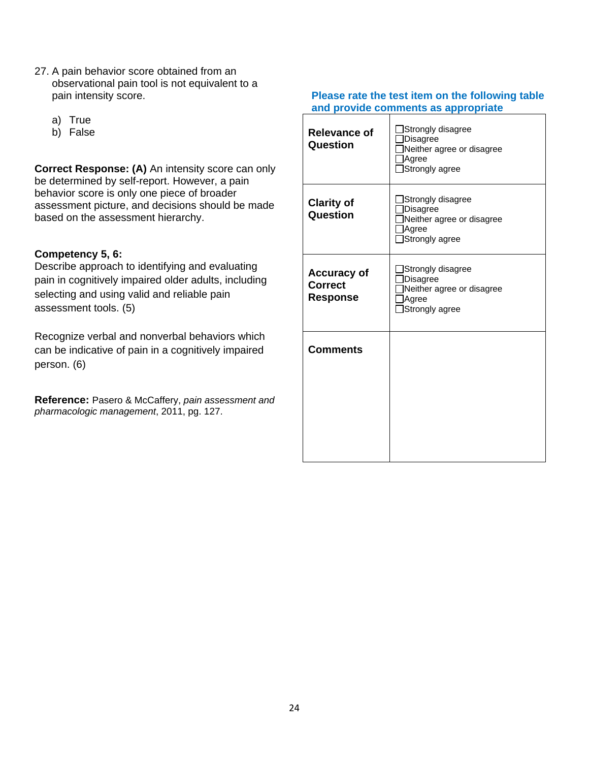- 27. A pain behavior score obtained from an observational pain tool is not equivalent to a pain intensity score.
	- a) True
	- b) False

**Correct Response: (A)** An intensity score can only be determined by self-report. However, a pain behavior score is only one piece of broader assessment picture, and decisions should be made based on the assessment hierarchy.

## **Competency 5, 6:**

Describe approach to identifying and evaluating pain in cognitively impaired older adults, including selecting and using valid and reliable pain assessment tools. (5)

Recognize verbal and nonverbal behaviors which can be indicative of pain in a cognitively impaired person. (6)

**Reference:** Pasero & McCaffery, *pain assessment and pharmacologic management*, 2011, pg. 127.

| Relevance of<br>Question                                | Strongly disagree<br><b>Disagree</b><br>Neither agree or disagree<br>Agree<br>Strongly agree |
|---------------------------------------------------------|----------------------------------------------------------------------------------------------|
| <b>Clarity of</b><br>Question                           | Strongly disagree<br><b>Disagree</b><br>Neither agree or disagree<br>Agree<br>Strongly agree |
| <b>Accuracy of</b><br><b>Correct</b><br><b>Response</b> | Strongly disagree<br><b>Disagree</b><br>Neither agree or disagree<br>Agree<br>Strongly agree |
| <b>Comments</b>                                         |                                                                                              |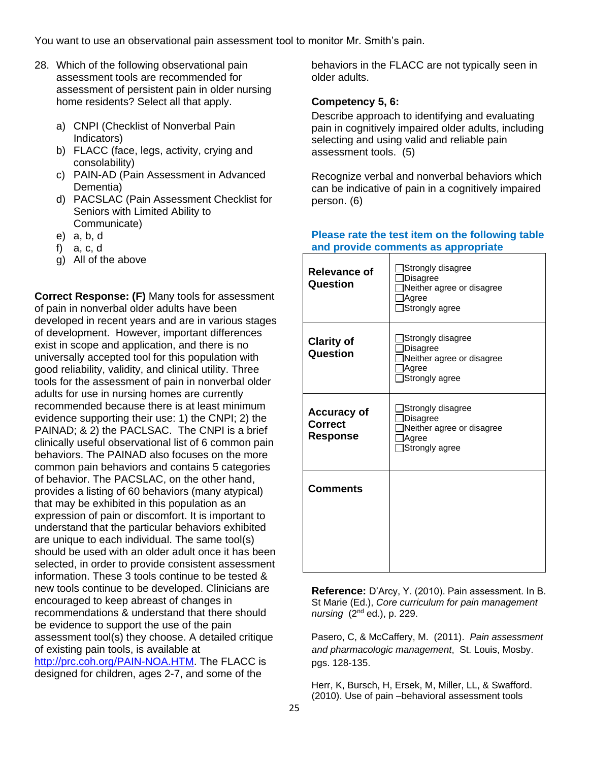You want to use an observational pain assessment tool to monitor Mr. Smith's pain.

- 28. Which of the following observational pain assessment tools are recommended for assessment of persistent pain in older nursing home residents? Select all that apply.
	- a) CNPI (Checklist of Nonverbal Pain Indicators)
	- b) FLACC (face, legs, activity, crying and consolability)
	- c) PAIN-AD (Pain Assessment in Advanced Dementia)
	- d) PACSLAC (Pain Assessment Checklist for Seniors with Limited Ability to Communicate)
	- e) a, b, d
	- f) a, c, d
	- g) All of the above

**Correct Response: (F)** Many tools for assessment of pain in nonverbal older adults have been developed in recent years and are in various stages of development. However, important differences exist in scope and application, and there is no universally accepted tool for this population with good reliability, validity, and clinical utility. Three tools for the assessment of pain in nonverbal older adults for use in nursing homes are currently recommended because there is at least minimum evidence supporting their use: 1) the CNPI; 2) the PAINAD; & 2) the PACLSAC. The CNPI is a brief clinically useful observational list of 6 common pain behaviors. The PAINAD also focuses on the more common pain behaviors and contains 5 categories of behavior. The PACSLAC, on the other hand, provides a listing of 60 behaviors (many atypical) that may be exhibited in this population as an expression of pain or discomfort. It is important to understand that the particular behaviors exhibited are unique to each individual. The same tool(s) should be used with an older adult once it has been selected, in order to provide consistent assessment information. These 3 tools continue to be tested & new tools continue to be developed. Clinicians are encouraged to keep abreast of changes in recommendations & understand that there should be evidence to support the use of the pain assessment tool(s) they choose. A detailed critique of existing pain tools, is available at [http://prc.coh.org/PAIN-NOA.HTM.](http://prc.coh.org/PAIN-NOA.htm) The FLACC is designed for children, ages 2-7, and some of the

behaviors in the FLACC are not typically seen in older adults.

## **Competency 5, 6:**

Describe approach to identifying and evaluating pain in cognitively impaired older adults, including selecting and using valid and reliable pain assessment tools. (5)

Recognize verbal and nonverbal behaviors which can be indicative of pain in a cognitively impaired person. (6)

#### **Please rate the test item on the following table and provide comments as appropriate**

| Relevance of<br>Question                                | Strongly disagree<br>Disagree<br>Neither agree or disagree<br>Agree<br>Strongly agree        |
|---------------------------------------------------------|----------------------------------------------------------------------------------------------|
| <b>Clarity of</b><br>Question                           | Strongly disagree<br><b>Disagree</b><br>Neither agree or disagree<br>Agree<br>Strongly agree |
| <b>Accuracy of</b><br><b>Correct</b><br><b>Response</b> | Strongly disagree<br><b>Disagree</b><br>Neither agree or disagree<br>Agree<br>Strongly agree |
| <b>Comments</b>                                         |                                                                                              |

**Reference:** D'Arcy, Y. (2010). Pain assessment. In B. St Marie (Ed.), *Core curriculum for pain management nursing* (2nd ed.), p. 229.

Pasero, C, & McCaffery, M. (2011). *Pain assessment and pharmacologic management*, St. Louis, Mosby. pgs. 128-135.

Herr, K, Bursch, H, Ersek, M, Miller, LL, & Swafford. (2010). Use of pain –behavioral assessment tools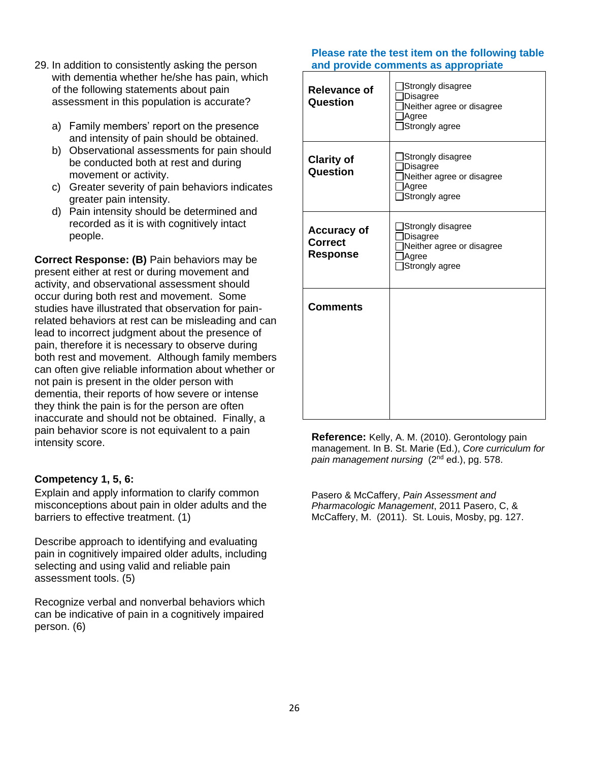- 29. In addition to consistently asking the person with dementia whether he/she has pain, which of the following statements about pain assessment in this population is accurate?
	- a) Family members' report on the presence and intensity of pain should be obtained.
	- b) Observational assessments for pain should be conducted both at rest and during movement or activity.
	- c) Greater severity of pain behaviors indicates greater pain intensity.
	- d) Pain intensity should be determined and recorded as it is with cognitively intact people.

**Correct Response: (B)** Pain behaviors may be present either at rest or during movement and activity, and observational assessment should occur during both rest and movement. Some studies have illustrated that observation for painrelated behaviors at rest can be misleading and can lead to incorrect judgment about the presence of pain, therefore it is necessary to observe during both rest and movement. Although family members can often give reliable information about whether or not pain is present in the older person with dementia, their reports of how severe or intense they think the pain is for the person are often inaccurate and should not be obtained. Finally, a pain behavior score is not equivalent to a pain intensity score.

## **Competency 1, 5, 6:**

Explain and apply information to clarify common misconceptions about pain in older adults and the barriers to effective treatment. (1)

Describe approach to identifying and evaluating pain in cognitively impaired older adults, including selecting and using valid and reliable pain assessment tools. (5)

Recognize verbal and nonverbal behaviors which can be indicative of pain in a cognitively impaired person. (6)

#### **Please rate the test item on the following table and provide comments as appropriate**

| <b>Relevance of</b><br>Question                         | Strongly disagree<br><b>Disagree</b><br>Neither agree or disagree<br>Agree<br>Strongly agree |
|---------------------------------------------------------|----------------------------------------------------------------------------------------------|
| <b>Clarity of</b><br>Question                           | Strongly disagree<br><b>Disagree</b><br>Neither agree or disagree<br>Agree<br>Strongly agree |
| <b>Accuracy of</b><br><b>Correct</b><br><b>Response</b> | Strongly disagree<br><b>Disagree</b><br>Neither agree or disagree<br>Agree<br>Strongly agree |
| <b>Comments</b>                                         |                                                                                              |

**Reference:** Kelly, A. M. (2010). Gerontology pain management. In B. St. Marie (Ed.), *Core curriculum for pain management nursing* (2nd ed.), pg. 578.

Pasero & McCaffery, *Pain Assessment and Pharmacologic Management*, 2011 Pasero, C, & McCaffery, M. (2011). St. Louis, Mosby, pg. 127.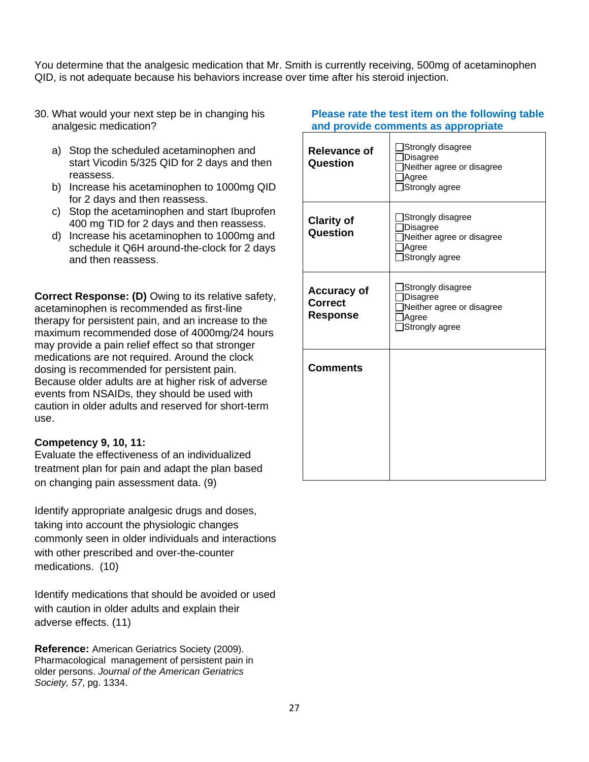You determine that the analgesic medication that Mr. Smith is currently receiving, 500mg of acetaminophen QID, is not adequate because his behaviors increase over time after his steroid injection.

- 30. What would your next step be in changing his analgesic medication?
	- a) Stop the scheduled acetaminophen and start Vicodin 5/325 QID for 2 days and then reassess.
	- b) Increase his acetaminophen to 1000mg QID for 2 days and then reassess.
	- c) Stop the acetaminophen and start Ibuprofen 400 mg TID for 2 days and then reassess.
	- d) Increase his acetaminophen to 1000mg and schedule it Q6H around-the-clock for 2 days and then reassess.

**Correct Response: (D)** Owing to its relative safety, acetaminophen is recommended as first-line therapy for persistent pain, and an increase to the maximum recommended dose of 4000mg/24 hours may provide a pain relief effect so that stronger medications are not required. Around the clock dosing is recommended for persistent pain. Because older adults are at higher risk of adverse events from NSAIDs, they should be used with caution in older adults and reserved for short-term use.

#### **Competency 9, 10, 11:**

Evaluate the effectiveness of an individualized treatment plan for pain and adapt the plan based on changing pain assessment data. (9)

Identify appropriate analgesic drugs and doses, taking into account the physiologic changes commonly seen in older individuals and interactions with other prescribed and over-the-counter medications. (10)

Identify medications that should be avoided or used with caution in older adults and explain their adverse effects. (11)

**Reference:** American Geriatrics Society (2009). Pharmacological management of persistent pain in older persons. *Journal of the American Geriatrics Society, 57*, pg. 1334.

| <b>Relevance of</b><br>Question                         | Strongly disagree<br>Disagree<br>Neither agree or disagree<br>Agree<br>Strongly agree        |
|---------------------------------------------------------|----------------------------------------------------------------------------------------------|
| <b>Clarity of</b><br>Question                           | Strongly disagree<br><b>Disagree</b><br>Neither agree or disagree<br>Agree<br>Strongly agree |
| <b>Accuracy of</b><br><b>Correct</b><br><b>Response</b> | Strongly disagree<br>Disagree<br>Neither agree or disagree<br>Agree<br>Strongly agree        |
| <b>Comments</b>                                         |                                                                                              |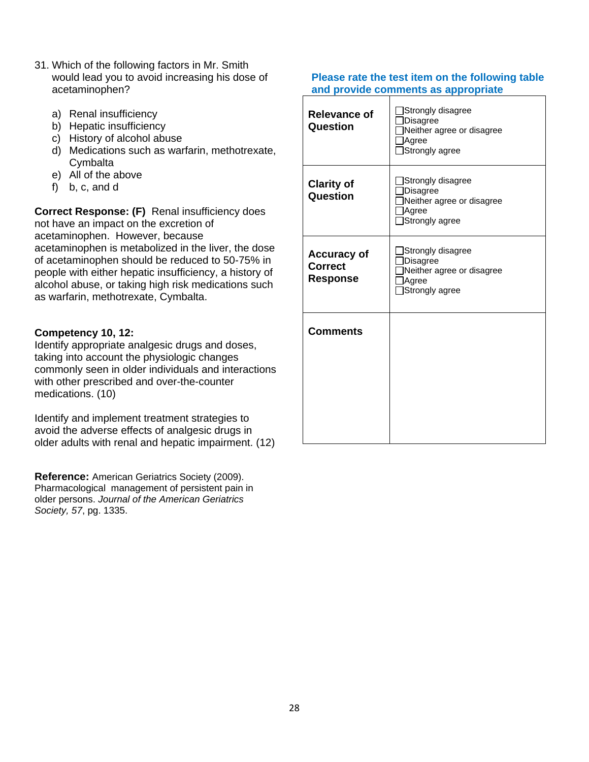- 31. Which of the following factors in Mr. Smith would lead you to avoid increasing his dose of acetaminophen?
	- a) Renal insufficiency
	- b) Hepatic insufficiency
	- c) History of alcohol abuse
	- d) Medications such as warfarin, methotrexate, **Cymbalta**
	- e) All of the above
	- f) b, c, and d

**Correct Response: (F)** Renal insufficiency does not have an impact on the excretion of acetaminophen. However, because acetaminophen is metabolized in the liver, the dose of acetaminophen should be reduced to 50-75% in people with either hepatic insufficiency, a history of alcohol abuse, or taking high risk medications such as warfarin, methotrexate, Cymbalta.

## **Competency 10, 12:**

Identify appropriate analgesic drugs and doses, taking into account the physiologic changes commonly seen in older individuals and interactions with other prescribed and over-the-counter medications. (10)

Identify and implement treatment strategies to avoid the adverse effects of analgesic drugs in older adults with renal and hepatic impairment. (12)

**Reference:** American Geriatrics Society (2009). Pharmacological management of persistent pain in older persons. *Journal of the American Geriatrics Society, 57*, pg. 1335.

| Strongly disagree<br>Disagree<br>Neither agree or disagree<br>Agree<br>Strongly agree |
|---------------------------------------------------------------------------------------|
| Strongly disagree<br>Disagree<br>Neither agree or disagree<br>Agree<br>Strongly agree |
| Strongly disagree<br>Disagree<br>Neither agree or disagree<br>Agree<br>Strongly agree |
|                                                                                       |
|                                                                                       |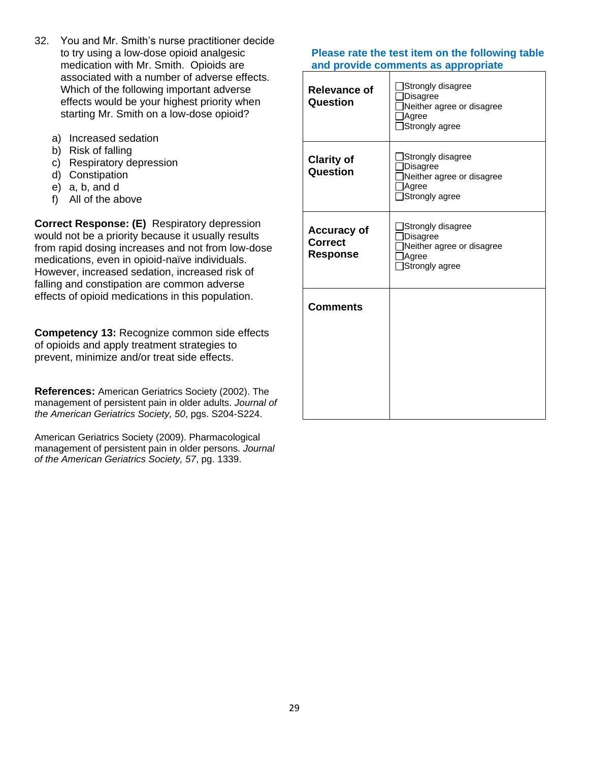- 32. You and Mr. Smith's nurse practitioner decide to try using a low-dose opioid analgesic medication with Mr. Smith. Opioids are associated with a number of adverse effects. Which of the following important adverse effects would be your highest priority when starting Mr. Smith on a low-dose opioid?
	- a) Increased sedation
	- b) Risk of falling
	- c) Respiratory depression
	- d) Constipation
	- e) a, b, and d
	- f) All of the above

**Correct Response: (E)** Respiratory depression would not be a priority because it usually results from rapid dosing increases and not from low-dose medications, even in opioid-naïve individuals. However, increased sedation, increased risk of falling and constipation are common adverse effects of opioid medications in this population.

**Competency 13:** Recognize common side effects of opioids and apply treatment strategies to prevent, minimize and/or treat side effects.

**References:** American Geriatrics Society (2002). The management of persistent pain in older adults. *Journal of the American Geriatrics Society, 50*, pgs. S204-S224.

American Geriatrics Society (2009). Pharmacological management of persistent pain in older persons. *Journal of the American Geriatrics Society, 57*, pg. 1339.

| <b>Relevance of</b><br>Question                         | Strongly disagree<br>Disagree<br>Neither agree or disagree<br>Agree<br>Strongly agree        |
|---------------------------------------------------------|----------------------------------------------------------------------------------------------|
| <b>Clarity of</b><br>Question                           | Strongly disagree<br><b>Disagree</b><br>Neither agree or disagree<br>Agree<br>Strongly agree |
| <b>Accuracy of</b><br><b>Correct</b><br><b>Response</b> | Strongly disagree<br>Disagree<br>Neither agree or disagree<br>Agree<br>Strongly agree        |
| <b>Comments</b>                                         |                                                                                              |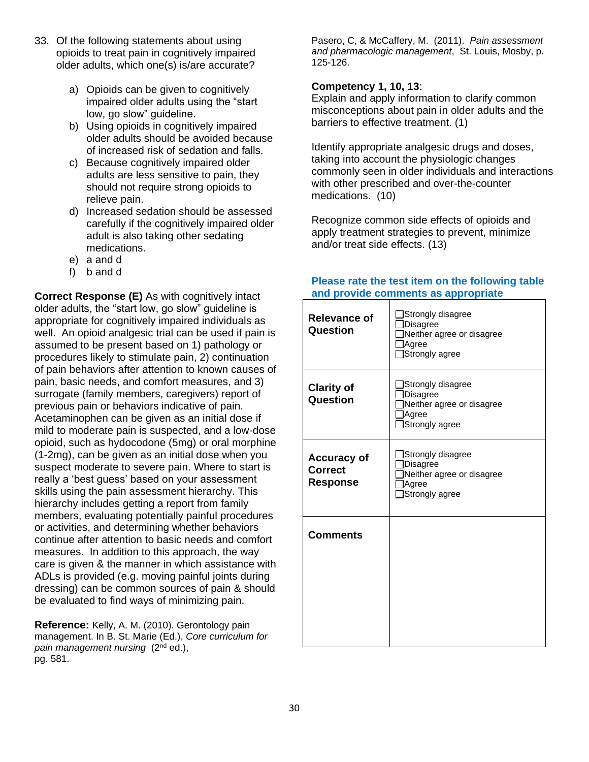- 33. Of the following statements about using opioids to treat pain in cognitively impaired older adults, which one(s) is/are accurate?
	- a) Opioids can be given to cognitively impaired older adults using the "start low, go slow" guideline.
	- b) Using opioids in cognitively impaired older adults should be avoided because of increased risk of sedation and falls.
	- c) Because cognitively impaired older adults are less sensitive to pain, they should not require strong opioids to relieve pain.
	- d) Increased sedation should be assessed carefully if the cognitively impaired older adult is also taking other sedating medications.
	- e) a and d
	- f) b and d

**Correct Response (E)** As with cognitively intact older adults, the "start low, go slow" guideline is appropriate for cognitively impaired individuals as well. An opioid analgesic trial can be used if pain is assumed to be present based on 1) pathology or procedures likely to stimulate pain, 2) continuation of pain behaviors after attention to known causes of pain, basic needs, and comfort measures, and 3) surrogate (family members, caregivers) report of previous pain or behaviors indicative of pain. Acetaminophen can be given as an initial dose if mild to moderate pain is suspected, and a low-dose opioid, such as hydocodone (5mg) or oral morphine (1-2mg), can be given as an initial dose when you suspect moderate to severe pain. Where to start is really a 'best guess' based on your assessment skills using the pain assessment hierarchy. This hierarchy includes getting a report from family members, evaluating potentially painful procedures or activities, and determining whether behaviors continue after attention to basic needs and comfort measures. In addition to this approach, the way care is given & the manner in which assistance with ADLs is provided (e.g. moving painful joints during dressing) can be common sources of pain & should be evaluated to find ways of minimizing pain.

**Reference:** Kelly, A. M. (2010). Gerontology pain management. In B. St. Marie (Ed.), *Core curriculum for pain management nursing* (2nd ed.), pg. 581.

Pasero, C, & McCaffery, M. (2011). *Pain assessment and pharmacologic management*, St. Louis, Mosby, p. 125-126.

### **Competency 1, 10, 13**:

Explain and apply information to clarify common misconceptions about pain in older adults and the barriers to effective treatment. (1)

Identify appropriate analgesic drugs and doses, taking into account the physiologic changes commonly seen in older individuals and interactions with other prescribed and over-the-counter medications. (10)

Recognize common side effects of opioids and apply treatment strategies to prevent, minimize and/or treat side effects. (13)

| <b>Relevance of</b><br>Question                         | Strongly disagree<br>Disagree<br>Neither agree or disagree<br>Agree<br>Strongly agree        |
|---------------------------------------------------------|----------------------------------------------------------------------------------------------|
| <b>Clarity of</b><br>Question                           | Strongly disagree<br>Disagree<br>Neither agree or disagree<br>Agree<br>Strongly agree        |
| <b>Accuracy of</b><br><b>Correct</b><br><b>Response</b> | Strongly disagree<br><b>Disagree</b><br>Neither agree or disagree<br>Agree<br>Strongly agree |
| <b>Comments</b>                                         |                                                                                              |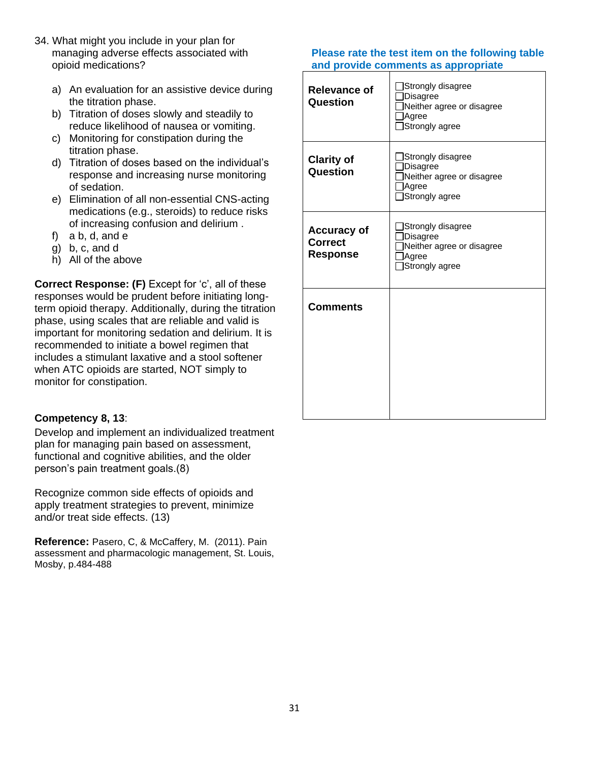- 34. What might you include in your plan for managing adverse effects associated with opioid medications?
	- a) An evaluation for an assistive device during the titration phase.
	- b) Titration of doses slowly and steadily to reduce likelihood of nausea or vomiting.
	- c) Monitoring for constipation during the titration phase.
	- d) Titration of doses based on the individual's response and increasing nurse monitoring of sedation.
	- e) Elimination of all non-essential CNS-acting medications (e.g., steroids) to reduce risks of increasing confusion and delirium .
	- f) a b, d, and e
	- g) b, c, and d
	- h) All of the above

**Correct Response: (F)** Except for 'c', all of these responses would be prudent before initiating longterm opioid therapy. Additionally, during the titration phase, using scales that are reliable and valid is important for monitoring sedation and delirium. It is recommended to initiate a bowel regimen that includes a stimulant laxative and a stool softener when ATC opioids are started, NOT simply to monitor for constipation.

## **Competency 8, 13**:

Develop and implement an individualized treatment plan for managing pain based on assessment, functional and cognitive abilities, and the older person's pain treatment goals.(8)

Recognize common side effects of opioids and apply treatment strategies to prevent, minimize and/or treat side effects. (13)

**Reference:** Pasero, C, & McCaffery, M. (2011). Pain assessment and pharmacologic management, St. Louis, Mosby, p.484-488

| <b>Relevance of</b><br>Question                         | Strongly disagree<br>]Disagree<br>Neither agree or disagree<br>Agree<br>Strongly agree |
|---------------------------------------------------------|----------------------------------------------------------------------------------------|
| <b>Clarity of</b><br>Question                           | Strongly disagree<br>Disagree<br>Neither agree or disagree<br>Agree<br>Strongly agree  |
| <b>Accuracy of</b><br><b>Correct</b><br><b>Response</b> | Strongly disagree<br>Disagree<br>Neither agree or disagree<br>Agree<br>Strongly agree  |
| <b>Comments</b>                                         |                                                                                        |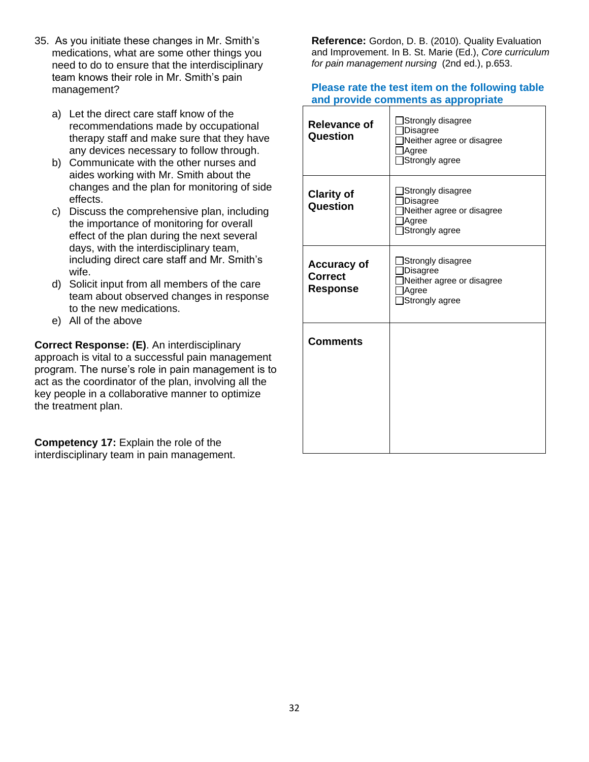- 35. As you initiate these changes in Mr. Smith's medications, what are some other things you need to do to ensure that the interdisciplinary team knows their role in Mr. Smith's pain management?
	- a) Let the direct care staff know of the recommendations made by occupational therapy staff and make sure that they have any devices necessary to follow through.
	- b) Communicate with the other nurses and aides working with Mr. Smith about the changes and the plan for monitoring of side effects.
	- c) Discuss the comprehensive plan, including the importance of monitoring for overall effect of the plan during the next several days, with the interdisciplinary team, including direct care staff and Mr. Smith's wife.
	- d) Solicit input from all members of the care team about observed changes in response to the new medications.
	- e) All of the above

**Correct Response: (E)**. An interdisciplinary approach is vital to a successful pain management program. The nurse's role in pain management is to act as the coordinator of the plan, involving all the key people in a collaborative manner to optimize the treatment plan.

**Competency 17:** Explain the role of the interdisciplinary team in pain management. **Reference:** Gordon, D. B. (2010). Quality Evaluation and Improvement. In B. St. Marie (Ed.), *Core curriculum for pain management nursing* (2nd ed.), p.653.

| Relevance of<br>Question                                | Strongly disagree<br><b>Disagree</b><br>Neither agree or disagree<br>Agree<br>Strongly agree |
|---------------------------------------------------------|----------------------------------------------------------------------------------------------|
| <b>Clarity of</b><br>Question                           | Strongly disagree<br><b>Disagree</b><br>Neither agree or disagree<br>Agree<br>Strongly agree |
| <b>Accuracy of</b><br><b>Correct</b><br><b>Response</b> | Strongly disagree<br><b>Disagree</b><br>Neither agree or disagree<br>Agree<br>Strongly agree |
| <b>Comments</b>                                         |                                                                                              |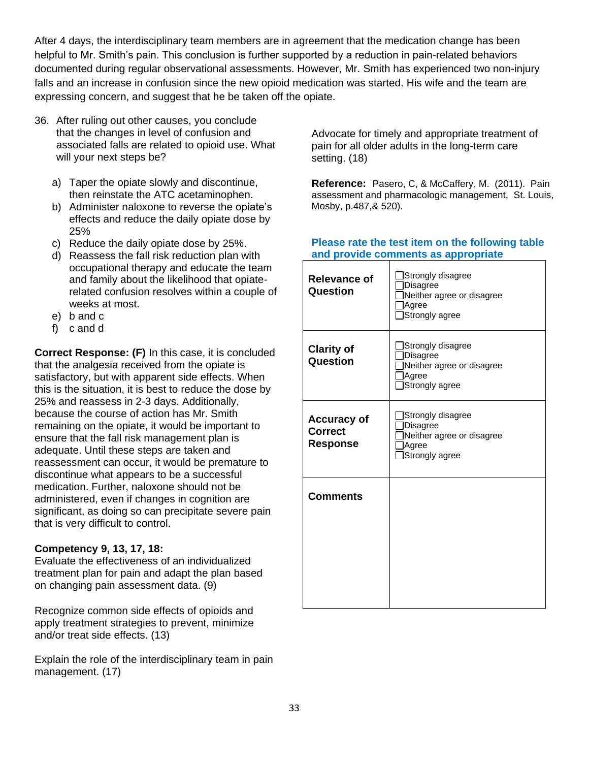After 4 days, the interdisciplinary team members are in agreement that the medication change has been helpful to Mr. Smith's pain. This conclusion is further supported by a reduction in pain-related behaviors documented during regular observational assessments. However, Mr. Smith has experienced two non-injury falls and an increase in confusion since the new opioid medication was started. His wife and the team are expressing concern, and suggest that he be taken off the opiate.

- 36. After ruling out other causes, you conclude that the changes in level of confusion and associated falls are related to opioid use. What will your next steps be?
	- a) Taper the opiate slowly and discontinue, then reinstate the ATC acetaminophen.
	- b) Administer naloxone to reverse the opiate's effects and reduce the daily opiate dose by 25%
	- c) Reduce the daily opiate dose by 25%.
	- d) Reassess the fall risk reduction plan with occupational therapy and educate the team and family about the likelihood that opiaterelated confusion resolves within a couple of weeks at most.
	- e) b and c
	- f) c and d

**Correct Response: (F)** In this case, it is concluded that the analgesia received from the opiate is satisfactory, but with apparent side effects. When this is the situation, it is best to reduce the dose by 25% and reassess in 2-3 days. Additionally, because the course of action has Mr. Smith remaining on the opiate, it would be important to ensure that the fall risk management plan is adequate. Until these steps are taken and reassessment can occur, it would be premature to discontinue what appears to be a successful medication. Further, naloxone should not be administered, even if changes in cognition are significant, as doing so can precipitate severe pain that is very difficult to control.

## **Competency 9, 13, 17, 18:**

Evaluate the effectiveness of an individualized treatment plan for pain and adapt the plan based on changing pain assessment data. (9)

Recognize common side effects of opioids and apply treatment strategies to prevent, minimize and/or treat side effects. (13)

Explain the role of the interdisciplinary team in pain management. (17)

Advocate for timely and appropriate treatment of pain for all older adults in the long-term care setting. (18)

**Reference:** Pasero, C, & McCaffery, M. (2011). Pain assessment and pharmacologic management, St. Louis, Mosby, p.487,& 520).

| <b>Relevance of</b><br>Question                         | Strongly disagree<br>Disagree<br>Neither agree or disagree<br>Agree<br>Strongly agree |
|---------------------------------------------------------|---------------------------------------------------------------------------------------|
| <b>Clarity of</b><br>Question                           | Strongly disagree<br>Disagree<br>Neither agree or disagree<br>Agree<br>Strongly agree |
| <b>Accuracy of</b><br><b>Correct</b><br><b>Response</b> | Strongly disagree<br>Disagree<br>Neither agree or disagree<br>Agree<br>Strongly agree |
| <b>Comments</b>                                         |                                                                                       |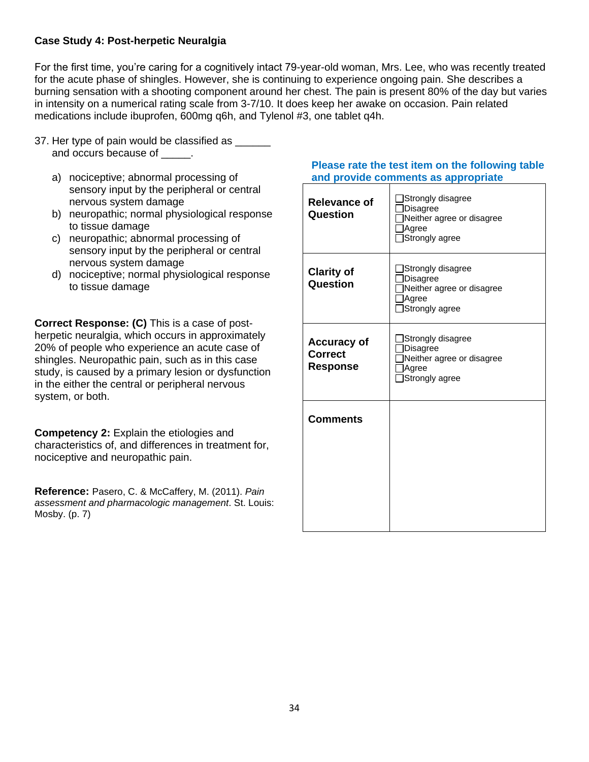## **Case Study 4: Post-herpetic Neuralgia**

For the first time, you're caring for a cognitively intact 79-year-old woman, Mrs. Lee, who was recently treated for the acute phase of shingles. However, she is continuing to experience ongoing pain. She describes a burning sensation with a shooting component around her chest. The pain is present 80% of the day but varies in intensity on a numerical rating scale from 3-7/10. It does keep her awake on occasion. Pain related medications include ibuprofen, 600mg q6h, and Tylenol #3, one tablet q4h.

- 37. Her type of pain would be classified as \_\_\_\_\_\_ and occurs because of \_\_\_\_\_.
	- a) nociceptive; abnormal processing of sensory input by the peripheral or central nervous system damage
	- b) neuropathic; normal physiological response to tissue damage
	- c) neuropathic; abnormal processing of sensory input by the peripheral or central nervous system damage
	- d) nociceptive; normal physiological response to tissue damage

**Correct Response: (C)** This is a case of postherpetic neuralgia, which occurs in approximately 20% of people who experience an acute case of shingles. Neuropathic pain, such as in this case study, is caused by a primary lesion or dysfunction in the either the central or peripheral nervous system, or both.

**Competency 2:** Explain the etiologies and characteristics of, and differences in treatment for, nociceptive and neuropathic pain.

**Reference:** Pasero, C. & McCaffery, M. (2011). *Pain assessment and pharmacologic management*. St. Louis: Mosby. (p. 7)

| <b>Relevance of</b><br>Question                         | Strongly disagree<br>Disagree<br>Neither agree or disagree<br>Agree<br>Strongly agree        |
|---------------------------------------------------------|----------------------------------------------------------------------------------------------|
| <b>Clarity of</b><br>Question                           | Strongly disagree<br><b>Disagree</b><br>Neither agree or disagree<br>Agree<br>Strongly agree |
| <b>Accuracy of</b><br><b>Correct</b><br><b>Response</b> | Strongly disagree<br>Disagree<br>Neither agree or disagree<br>Agree<br>Strongly agree        |
| <b>Comments</b>                                         |                                                                                              |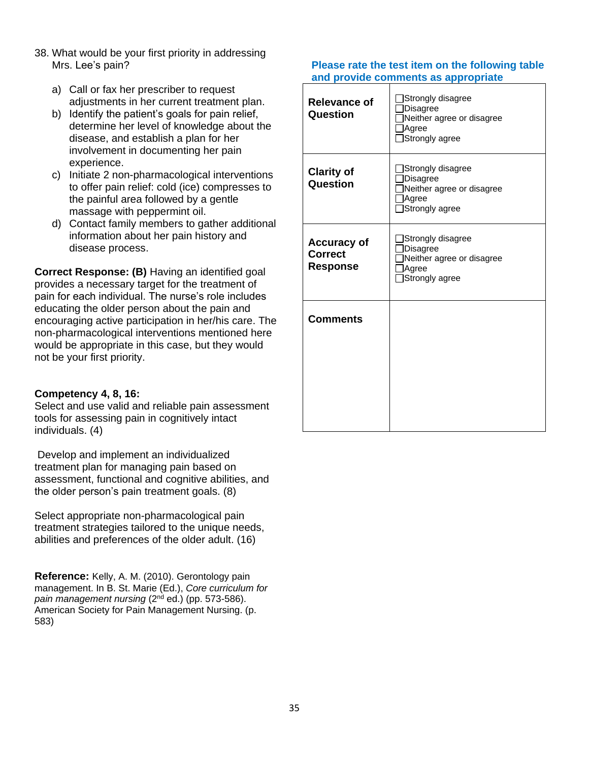- 38. What would be your first priority in addressing Mrs. Lee's pain?
	- a) Call or fax her prescriber to request adjustments in her current treatment plan.
	- b) Identify the patient's goals for pain relief, determine her level of knowledge about the disease, and establish a plan for her involvement in documenting her pain experience.
	- c) Initiate 2 non-pharmacological interventions to offer pain relief: cold (ice) compresses to the painful area followed by a gentle massage with peppermint oil.
	- d) Contact family members to gather additional information about her pain history and disease process.

**Correct Response: (B)** Having an identified goal provides a necessary target for the treatment of pain for each individual. The nurse's role includes educating the older person about the pain and encouraging active participation in her/his care. The non-pharmacological interventions mentioned here would be appropriate in this case, but they would not be your first priority.

## **Competency 4, 8, 16:**

Select and use valid and reliable pain assessment tools for assessing pain in cognitively intact individuals. (4)

Develop and implement an individualized treatment plan for managing pain based on assessment, functional and cognitive abilities, and the older person's pain treatment goals. (8)

Select appropriate non-pharmacological pain treatment strategies tailored to the unique needs, abilities and preferences of the older adult. (16)

**Reference:** Kelly, A. M. (2010). Gerontology pain management. In B. St. Marie (Ed.), *Core curriculum for*  pain management nursing (2<sup>nd</sup> ed.) (pp. 573-586). American Society for Pain Management Nursing. (p. 583)

| <b>Relevance of</b><br>Question                         | Strongly disagree<br>Disagree<br>Neither agree or disagree<br>Agree<br>Strongly agree |
|---------------------------------------------------------|---------------------------------------------------------------------------------------|
| <b>Clarity of</b><br><b>Question</b>                    | Strongly disagree<br>Disagree<br>Neither agree or disagree<br>Agree<br>Strongly agree |
| <b>Accuracy of</b><br><b>Correct</b><br><b>Response</b> | Strongly disagree<br>Disagree<br>Neither agree or disagree<br>Agree<br>Strongly agree |
| <b>Comments</b>                                         |                                                                                       |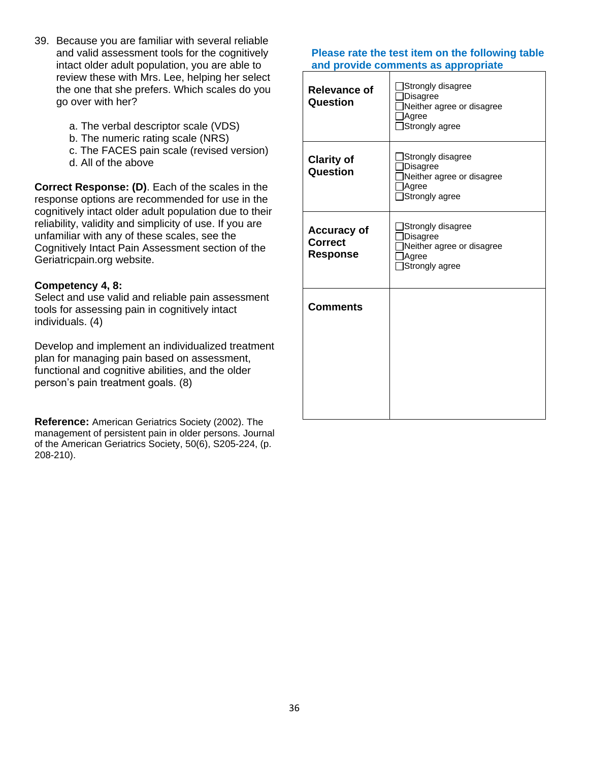- 39. Because you are familiar with several reliable and valid assessment tools for the cognitively intact older adult population, you are able to review these with Mrs. Lee, helping her select the one that she prefers. Which scales do you go over with her?
	- a. The verbal descriptor scale (VDS)
	- b. The numeric rating scale (NRS)
	- c. The FACES pain scale (revised version)
	- d. All of the above

**Correct Response: (D)**. Each of the scales in the response options are recommended for use in the cognitively intact older adult population due to their reliability, validity and simplicity of use. If you are unfamiliar with any of these scales, see the Cognitively Intact Pain Assessment section of the Geriatricpain.org website.

## **Competency 4, 8:**

Select and use valid and reliable pain assessment tools for assessing pain in cognitively intact individuals. (4)

Develop and implement an individualized treatment plan for managing pain based on assessment, functional and cognitive abilities, and the older person's pain treatment goals. (8)

**Reference:** American Geriatrics Society (2002). The management of persistent pain in older persons. Journal of the American Geriatrics Society, 50(6), S205-224, (p. 208-210).

| <b>Relevance of</b><br>Question                         | Strongly disagree<br>Disagree<br>Neither agree or disagree<br>Agree<br>Strongly agree        |
|---------------------------------------------------------|----------------------------------------------------------------------------------------------|
| <b>Clarity of</b><br>Question                           | Strongly disagree<br><b>Disagree</b><br>Neither agree or disagree<br>Agree<br>Strongly agree |
| <b>Accuracy of</b><br><b>Correct</b><br><b>Response</b> | Strongly disagree<br>Disagree<br>Neither agree or disagree<br>Agree<br>Strongly agree        |
| <b>Comments</b>                                         |                                                                                              |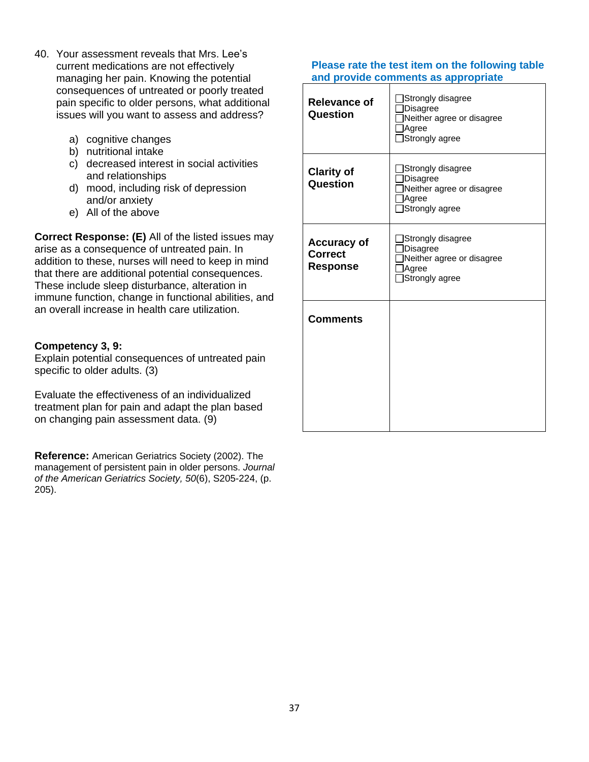- 40. Your assessment reveals that Mrs. Lee's current medications are not effectively managing her pain. Knowing the potential consequences of untreated or poorly treated pain specific to older persons, what additional issues will you want to assess and address?
	- a) cognitive changes
	- b) nutritional intake
	- c) decreased interest in social activities and relationships
	- d) mood, including risk of depression and/or anxiety
	- e) All of the above

**Correct Response: (E)** All of the listed issues may arise as a consequence of untreated pain. In addition to these, nurses will need to keep in mind that there are additional potential consequences. These include sleep disturbance, alteration in immune function, change in functional abilities, and an overall increase in health care utilization.

## **Competency 3, 9:**

Explain potential consequences of untreated pain specific to older adults. (3)

Evaluate the effectiveness of an individualized treatment plan for pain and adapt the plan based on changing pain assessment data. (9)

**Reference:** American Geriatrics Society (2002). The management of persistent pain in older persons. *Journal of the American Geriatrics Society, 50*(6), S205-224, (p. 205).

| <b>Relevance of</b><br>Question                         | Strongly disagree<br>Disagree<br>Neither agree or disagree<br>Agree<br>Strongly agree         |
|---------------------------------------------------------|-----------------------------------------------------------------------------------------------|
| <b>Clarity of</b><br>Question                           | Strongly disagree<br><b>Disagree</b><br>Neither agree or disagree<br>Agree<br>Strongly agree  |
| <b>Accuracy of</b><br><b>Correct</b><br><b>Response</b> | ]Strongly disagree<br><b>Disagree</b><br>Neither agree or disagree<br>Agree<br>Strongly agree |
| <b>Comments</b>                                         |                                                                                               |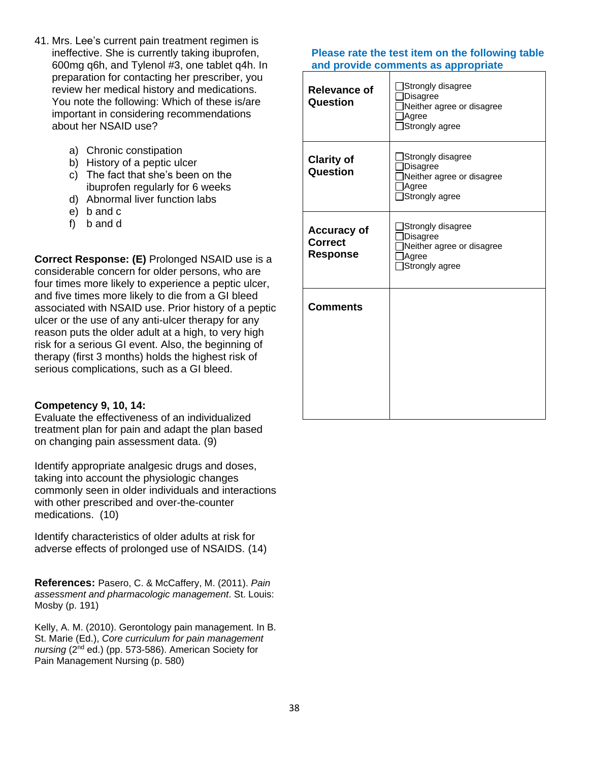- 41. Mrs. Lee's current pain treatment regimen is ineffective. She is currently taking ibuprofen, 600mg q6h, and Tylenol #3, one tablet q4h. In preparation for contacting her prescriber, you review her medical history and medications. You note the following: Which of these is/are important in considering recommendations about her NSAID use?
	- a) Chronic constipation
	- b) History of a peptic ulcer
	- c) The fact that she's been on the ibuprofen regularly for 6 weeks
	- d) Abnormal liver function labs
	- e) b and c
	- f) b and d

**Correct Response: (E)** Prolonged NSAID use is a considerable concern for older persons, who are four times more likely to experience a peptic ulcer, and five times more likely to die from a GI bleed associated with NSAID use. Prior history of a peptic ulcer or the use of any anti-ulcer therapy for any reason puts the older adult at a high, to very high risk for a serious GI event. Also, the beginning of therapy (first 3 months) holds the highest risk of serious complications, such as a GI bleed.

#### **Competency 9, 10, 14:**

Evaluate the effectiveness of an individualized treatment plan for pain and adapt the plan based on changing pain assessment data. (9)

Identify appropriate analgesic drugs and doses, taking into account the physiologic changes commonly seen in older individuals and interactions with other prescribed and over-the-counter medications. (10)

Identify characteristics of older adults at risk for adverse effects of prolonged use of NSAIDS. (14)

**References:** Pasero, C. & McCaffery, M. (2011). *Pain assessment and pharmacologic management*. St. Louis: Mosby (p. 191)

Kelly, A. M. (2010). Gerontology pain management. In B. St. Marie (Ed.), *Core curriculum for pain management nursing* (2nd ed.) (pp. 573-586). American Society for Pain Management Nursing (p. 580)

| <b>Relevance of</b><br>Question                         | Strongly disagree<br>Disagree<br>Neither agree or disagree<br>Agree<br>Strongly agree        |
|---------------------------------------------------------|----------------------------------------------------------------------------------------------|
| <b>Clarity of</b><br>Question                           | Strongly disagree<br><b>Disagree</b><br>Neither agree or disagree<br>Agree<br>Strongly agree |
| <b>Accuracy of</b><br><b>Correct</b><br><b>Response</b> | Strongly disagree<br><b>Disagree</b><br>Neither agree or disagree<br>Agree<br>Strongly agree |
| <b>Comments</b>                                         |                                                                                              |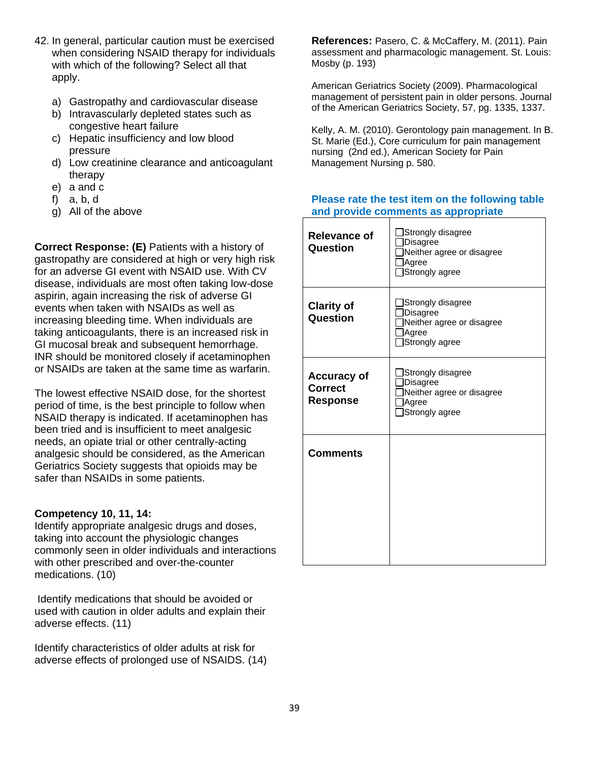- 42. In general, particular caution must be exercised when considering NSAID therapy for individuals with which of the following? Select all that apply.
	- a) Gastropathy and cardiovascular disease
	- b) Intravascularly depleted states such as congestive heart failure
	- c) Hepatic insufficiency and low blood pressure
	- d) Low creatinine clearance and anticoagulant therapy
	- e) a and c
	- f) a, b, d
	- g) All of the above

**Correct Response: (E)** Patients with a history of gastropathy are considered at high or very high risk for an adverse GI event with NSAID use. With CV disease, individuals are most often taking low-dose aspirin, again increasing the risk of adverse GI events when taken with NSAIDs as well as increasing bleeding time. When individuals are taking anticoagulants, there is an increased risk in GI mucosal break and subsequent hemorrhage. INR should be monitored closely if acetaminophen or NSAIDs are taken at the same time as warfarin.

The lowest effective NSAID dose, for the shortest period of time, is the best principle to follow when NSAID therapy is indicated. If acetaminophen has been tried and is insufficient to meet analgesic needs, an opiate trial or other centrally-acting analgesic should be considered, as the American Geriatrics Society suggests that opioids may be safer than NSAIDs in some patients.

## **Competency 10, 11, 14:**

Identify appropriate analgesic drugs and doses, taking into account the physiologic changes commonly seen in older individuals and interactions with other prescribed and over-the-counter medications. (10)

Identify medications that should be avoided or used with caution in older adults and explain their adverse effects. (11)

Identify characteristics of older adults at risk for adverse effects of prolonged use of NSAIDS. (14) **References:** Pasero, C. & McCaffery, M. (2011). Pain assessment and pharmacologic management. St. Louis: Mosby (p. 193)

American Geriatrics Society (2009). Pharmacological management of persistent pain in older persons. Journal of the American Geriatrics Society, 57, pg. 1335, 1337.

Kelly, A. M. (2010). Gerontology pain management. In B. St. Marie (Ed.), Core curriculum for pain management nursing (2nd ed.), American Society for Pain Management Nursing p. 580.

| <b>Relevance of</b><br>Question                         | Strongly disagree<br>Disagree<br>Neither agree or disagree<br>Agree<br>Strongly agree |
|---------------------------------------------------------|---------------------------------------------------------------------------------------|
| <b>Clarity of</b><br><b>Question</b>                    | Strongly disagree<br>Disagree<br>Neither agree or disagree<br>Agree<br>Strongly agree |
| <b>Accuracy of</b><br><b>Correct</b><br><b>Response</b> | Strongly disagree<br>Disagree<br>Neither agree or disagree<br>Agree<br>Strongly agree |
| <b>Comments</b>                                         |                                                                                       |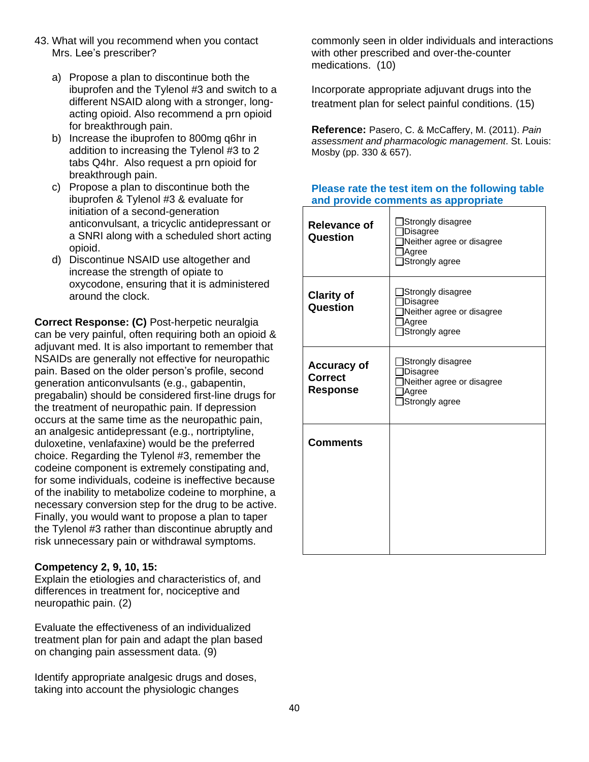- 43. What will you recommend when you contact Mrs. Lee's prescriber?
	- a) Propose a plan to discontinue both the ibuprofen and the Tylenol #3 and switch to a different NSAID along with a stronger, longacting opioid. Also recommend a prn opioid for breakthrough pain.
	- b) Increase the ibuprofen to 800mg q6hr in addition to increasing the Tylenol #3 to 2 tabs Q4hr. Also request a prn opioid for breakthrough pain.
	- c) Propose a plan to discontinue both the ibuprofen & Tylenol #3 & evaluate for initiation of a second-generation anticonvulsant, a tricyclic antidepressant or a SNRI along with a scheduled short acting opioid.
	- d) Discontinue NSAID use altogether and increase the strength of opiate to oxycodone, ensuring that it is administered around the clock.

**Correct Response: (C)** Post-herpetic neuralgia can be very painful, often requiring both an opioid & adjuvant med. It is also important to remember that NSAIDs are generally not effective for neuropathic pain. Based on the older person's profile, second generation anticonvulsants (e.g., gabapentin, pregabalin) should be considered first-line drugs for the treatment of neuropathic pain. If depression occurs at the same time as the neuropathic pain, an analgesic antidepressant (e.g., nortriptyline, duloxetine, venlafaxine) would be the preferred choice. Regarding the Tylenol #3, remember the codeine component is extremely constipating and, for some individuals, codeine is ineffective because of the inability to metabolize codeine to morphine, a necessary conversion step for the drug to be active. Finally, you would want to propose a plan to taper the Tylenol #3 rather than discontinue abruptly and risk unnecessary pain or withdrawal symptoms.

## **Competency 2, 9, 10, 15:**

Explain the etiologies and characteristics of, and differences in treatment for, nociceptive and neuropathic pain. (2)

Evaluate the effectiveness of an individualized treatment plan for pain and adapt the plan based on changing pain assessment data. (9)

Identify appropriate analgesic drugs and doses, taking into account the physiologic changes

commonly seen in older individuals and interactions with other prescribed and over-the-counter medications. (10)

Incorporate appropriate adjuvant drugs into the treatment plan for select painful conditions. (15)

**Reference:** Pasero, C. & McCaffery, M. (2011). *Pain assessment and pharmacologic management*. St. Louis: Mosby (pp. 330 & 657).

| <b>Relevance of</b><br>Question                         | Strongly disagree<br>Disagree<br>Neither agree or disagree<br>Agree<br>Strongly agree        |
|---------------------------------------------------------|----------------------------------------------------------------------------------------------|
| <b>Clarity of</b><br><b>Question</b>                    | Strongly disagree<br><b>Disagree</b><br>Neither agree or disagree<br>Agree<br>Strongly agree |
| <b>Accuracy of</b><br><b>Correct</b><br><b>Response</b> | Strongly disagree<br>Disagree<br>Neither agree or disagree<br>Agree<br>Strongly agree        |
| <b>Comments</b>                                         |                                                                                              |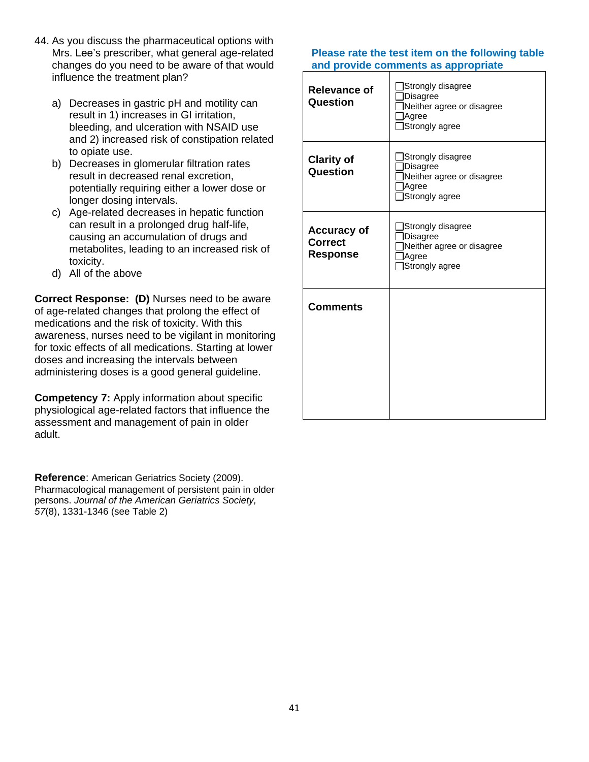- 44. As you discuss the pharmaceutical options with Mrs. Lee's prescriber, what general age-related changes do you need to be aware of that would influence the treatment plan?
	- a) Decreases in gastric pH and motility can result in 1) increases in GI irritation, bleeding, and ulceration with NSAID use and 2) increased risk of constipation related to opiate use.
	- b) Decreases in glomerular filtration rates result in decreased renal excretion, potentially requiring either a lower dose or longer dosing intervals.
	- c) Age-related decreases in hepatic function can result in a prolonged drug half-life, causing an accumulation of drugs and metabolites, leading to an increased risk of toxicity.
	- d) All of the above

**Correct Response: (D)** Nurses need to be aware of age-related changes that prolong the effect of medications and the risk of toxicity. With this awareness, nurses need to be vigilant in monitoring for toxic effects of all medications. Starting at lower doses and increasing the intervals between administering doses is a good general guideline.

**Competency 7:** Apply information about specific physiological age-related factors that influence the assessment and management of pain in older adult.

**Reference**: American Geriatrics Society (2009). Pharmacological management of persistent pain in older persons. *Journal of the American Geriatrics Society, 57*(8), 1331-1346 (see Table 2)

| Relevance of<br>Question                                | Strongly disagree<br><b>Disagree</b><br>Neither agree or disagree<br>Agree<br>Strongly agree |
|---------------------------------------------------------|----------------------------------------------------------------------------------------------|
| <b>Clarity of</b><br>Question                           | Strongly disagree<br>Disagree<br>Neither agree or disagree<br>Agree<br>Strongly agree        |
| <b>Accuracy of</b><br><b>Correct</b><br><b>Response</b> | Strongly disagree<br><b>Disagree</b><br>Neither agree or disagree<br>Agree<br>Strongly agree |
| <b>Comments</b>                                         |                                                                                              |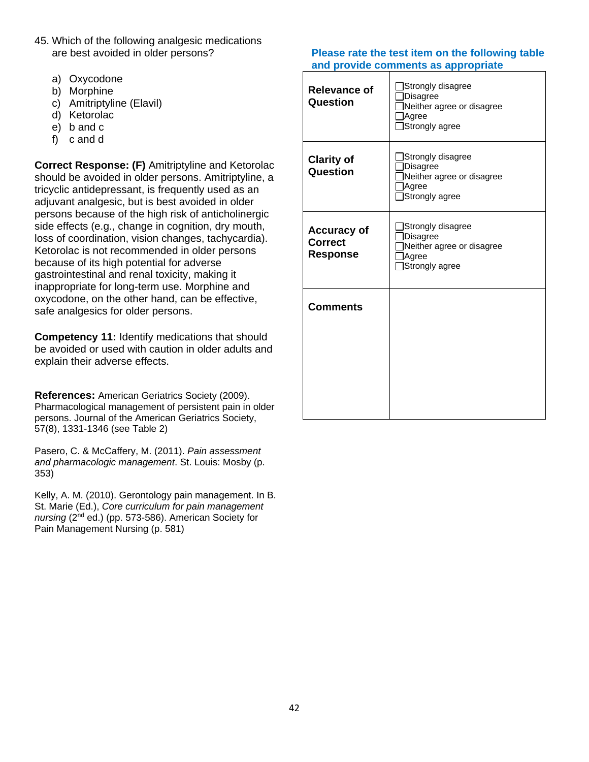- 45. Which of the following analgesic medications are best avoided in older persons?
	- a) Oxycodone
	- b) Morphine
	- c) Amitriptyline (Elavil)
	- d) Ketorolac
	- e) b and c
	- f) c and d

**Correct Response: (F)** Amitriptyline and Ketorolac should be avoided in older persons. Amitriptyline, a tricyclic antidepressant, is frequently used as an adjuvant analgesic, but is best avoided in older persons because of the high risk of anticholinergic side effects (e.g., change in cognition, dry mouth, loss of coordination, vision changes, tachycardia). Ketorolac is not recommended in older persons because of its high potential for adverse gastrointestinal and renal toxicity, making it inappropriate for long-term use. Morphine and oxycodone, on the other hand, can be effective, safe analgesics for older persons.

**Competency 11:** Identify medications that should be avoided or used with caution in older adults and explain their adverse effects.

**References:** American Geriatrics Society (2009). Pharmacological management of persistent pain in older persons. Journal of the American Geriatrics Society, 57(8), 1331-1346 (see Table 2)

Pasero, C. & McCaffery, M. (2011). *Pain assessment and pharmacologic management*. St. Louis: Mosby (p. 353)

Kelly, A. M. (2010). Gerontology pain management. In B. St. Marie (Ed.), *Core curriculum for pain management nursing* (2nd ed.) (pp. 573-586). American Society for Pain Management Nursing (p. 581)

| <b>Relevance of</b><br>Question                         | Strongly disagree<br>Disagree<br>Neither agree or disagree<br>Agree<br>Strongly agree        |
|---------------------------------------------------------|----------------------------------------------------------------------------------------------|
| <b>Clarity of</b><br>Question                           | Strongly disagree<br><b>Disagree</b><br>Neither agree or disagree<br>Agree<br>Strongly agree |
| <b>Accuracy of</b><br><b>Correct</b><br><b>Response</b> | Strongly disagree<br>Disagree<br>Neither agree or disagree<br>Agree<br>Strongly agree        |
| <b>Comments</b>                                         |                                                                                              |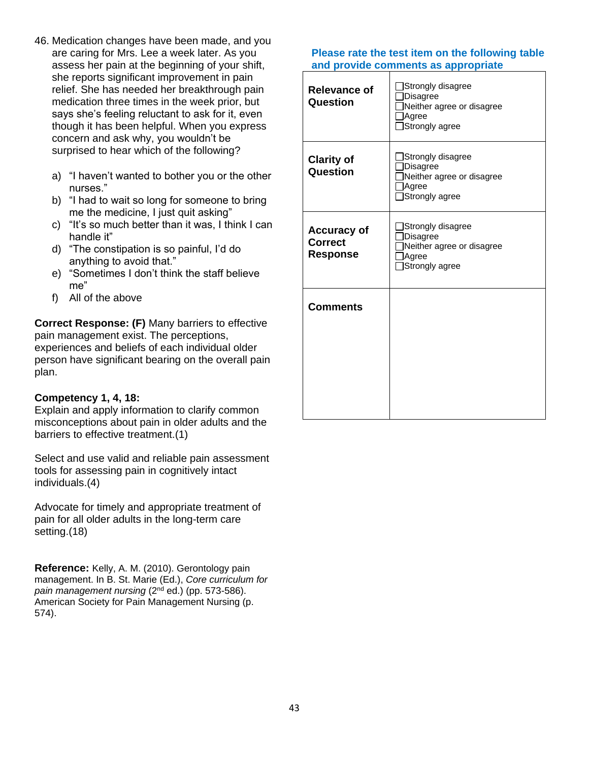- 46. Medication changes have been made, and you are caring for Mrs. Lee a week later. As you assess her pain at the beginning of your shift, she reports significant improvement in pain relief. She has needed her breakthrough pain medication three times in the week prior, but says she's feeling reluctant to ask for it, even though it has been helpful. When you express concern and ask why, you wouldn't be surprised to hear which of the following?
	- a) "I haven't wanted to bother you or the other nurses."
	- b) "I had to wait so long for someone to bring me the medicine, I just quit asking"
	- c) "It's so much better than it was, I think I can handle it"
	- d) "The constipation is so painful, I'd do anything to avoid that."
	- e) "Sometimes I don't think the staff believe me"
	- f) All of the above

**Correct Response: (F)** Many barriers to effective pain management exist. The perceptions, experiences and beliefs of each individual older person have significant bearing on the overall pain plan.

## **Competency 1, 4, 18:**

Explain and apply information to clarify common misconceptions about pain in older adults and the barriers to effective treatment.(1)

Select and use valid and reliable pain assessment tools for assessing pain in cognitively intact individuals.(4)

Advocate for timely and appropriate treatment of pain for all older adults in the long-term care setting.(18)

**Reference:** Kelly, A. M. (2010). Gerontology pain management. In B. St. Marie (Ed.), *Core curriculum for pain management nursing* (2nd ed.) (pp. 573-586). American Society for Pain Management Nursing (p. 574).

| <b>Relevance of</b><br>Question                         | Strongly disagree<br>Disagree<br>Neither agree or disagree<br>Agree<br>Strongly agree        |
|---------------------------------------------------------|----------------------------------------------------------------------------------------------|
| <b>Clarity of</b><br>Question                           | Strongly disagree<br>Disagree<br>Neither agree or disagree<br>Agree<br>Strongly agree        |
| <b>Accuracy of</b><br><b>Correct</b><br><b>Response</b> | Strongly disagree<br><b>Disagree</b><br>Neither agree or disagree<br>Agree<br>Strongly agree |
| <b>Comments</b>                                         |                                                                                              |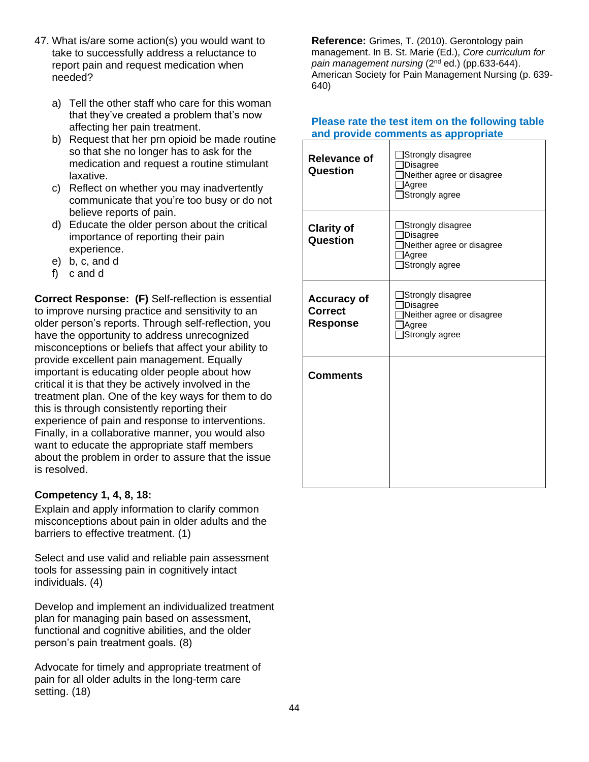- 47. What is/are some action(s) you would want to take to successfully address a reluctance to report pain and request medication when needed?
	- a) Tell the other staff who care for this woman that they've created a problem that's now affecting her pain treatment.
	- b) Request that her prn opioid be made routine so that she no longer has to ask for the medication and request a routine stimulant laxative.
	- c) Reflect on whether you may inadvertently communicate that you're too busy or do not believe reports of pain.
	- d) Educate the older person about the critical importance of reporting their pain experience.
	- e) b, c, and d
	- f) c and d

**Correct Response: (F)** Self-reflection is essential to improve nursing practice and sensitivity to an older person's reports. Through self-reflection, you have the opportunity to address unrecognized misconceptions or beliefs that affect your ability to provide excellent pain management. Equally important is educating older people about how critical it is that they be actively involved in the treatment plan. One of the key ways for them to do this is through consistently reporting their experience of pain and response to interventions. Finally, in a collaborative manner, you would also want to educate the appropriate staff members about the problem in order to assure that the issue is resolved.

## **Competency 1, 4, 8, 18:**

Explain and apply information to clarify common misconceptions about pain in older adults and the barriers to effective treatment. (1)

Select and use valid and reliable pain assessment tools for assessing pain in cognitively intact individuals. (4)

Develop and implement an individualized treatment plan for managing pain based on assessment, functional and cognitive abilities, and the older person's pain treatment goals. (8)

Advocate for timely and appropriate treatment of pain for all older adults in the long-term care setting. (18)

**Reference:** Grimes, T. (2010). Gerontology pain management. In B. St. Marie (Ed.), *Core curriculum for pain management nursing* (2nd ed.) (pp.633-644). American Society for Pain Management Nursing (p. 639- 640)

| <b>Relevance of</b><br><b>Question</b>                  | Strongly disagree<br>Disagree<br>Neither agree or disagree<br>Agree<br>Strongly agree        |
|---------------------------------------------------------|----------------------------------------------------------------------------------------------|
| <b>Clarity of</b><br>Question                           | Strongly disagree<br><b>Disagree</b><br>Neither agree or disagree<br>Agree<br>Strongly agree |
| <b>Accuracy of</b><br><b>Correct</b><br><b>Response</b> | Strongly disagree<br>Disagree<br>Neither agree or disagree<br>Agree<br>Strongly agree        |
| <b>Comments</b>                                         |                                                                                              |